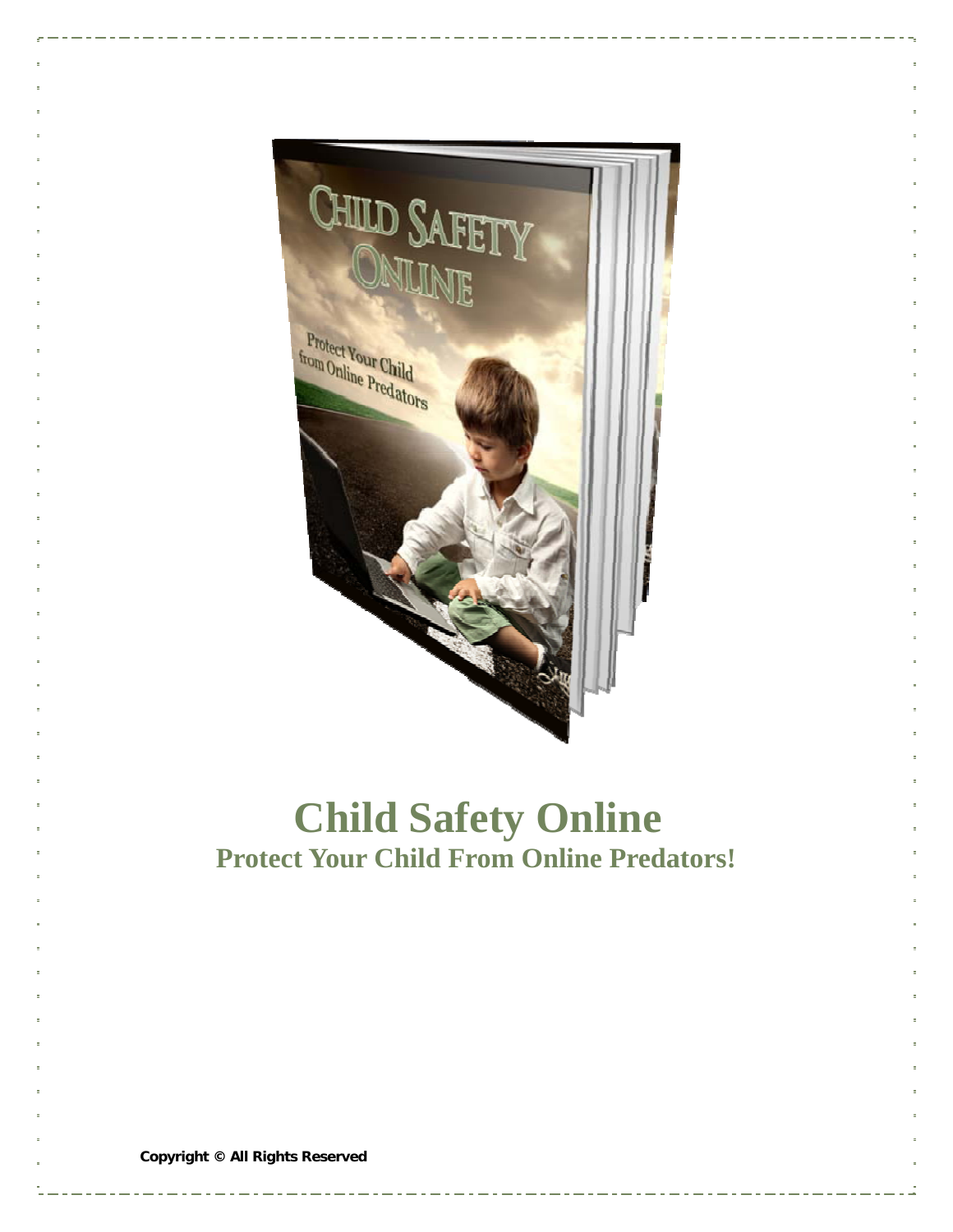

# **Child Safety Online Protect Your Child From Online Predators!**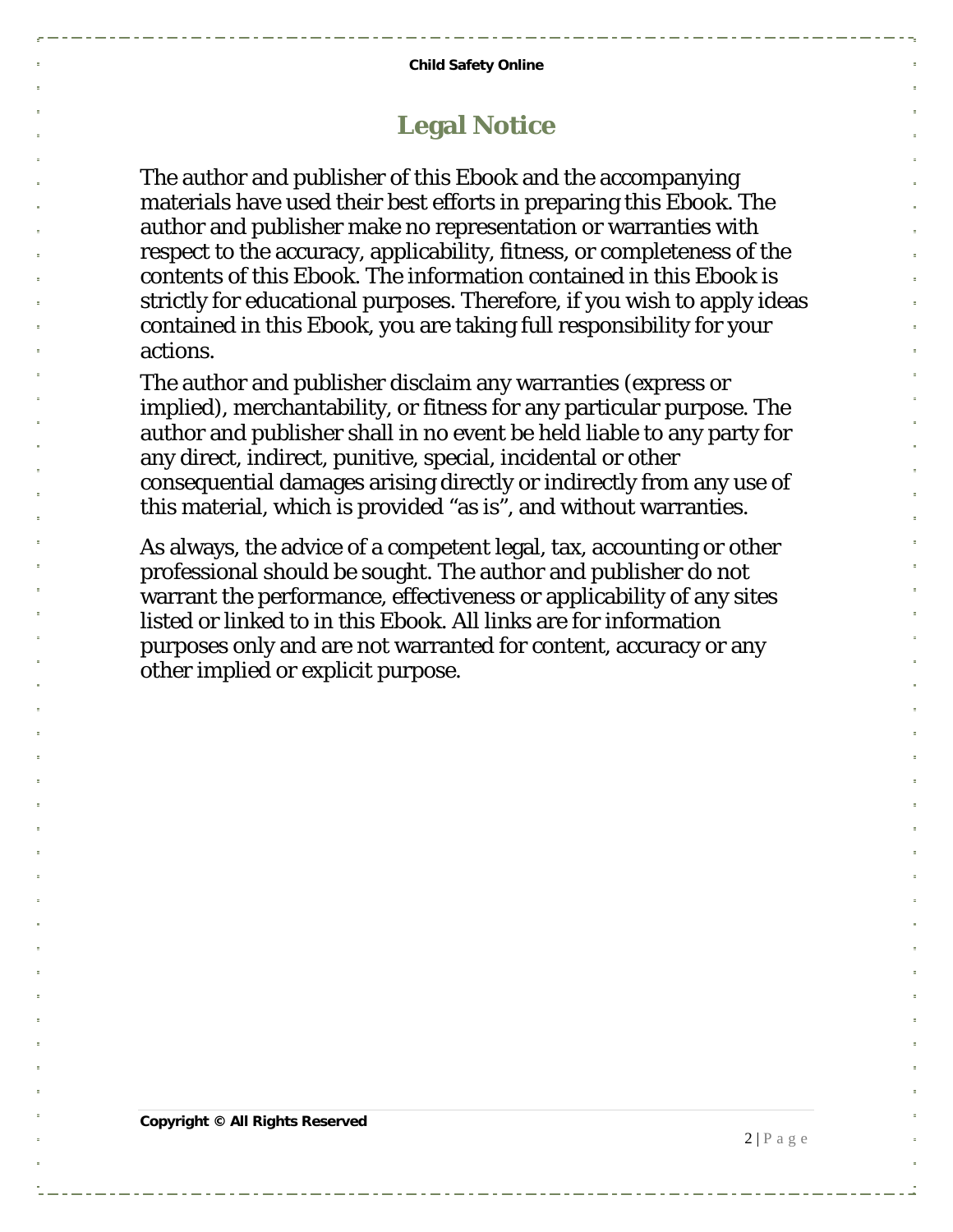#### **Legal Notice**

The author and publisher of this Ebook and the accompanying materials have used their best efforts in preparing this Ebook. The author and publisher make no representation or warranties with respect to the accuracy, applicability, fitness, or completeness of the contents of this Ebook. The information contained in this Ebook is strictly for educational purposes. Therefore, if you wish to apply ideas contained in this Ebook, you are taking full responsibility for your actions.

The author and publisher disclaim any warranties (express or implied), merchantability, or fitness for any particular purpose. The author and publisher shall in no event be held liable to any party for any direct, indirect, punitive, special, incidental or other consequential damages arising directly or indirectly from any use of this material, which is provided "as is", and without warranties.

As always, the advice of a competent legal, tax, accounting or other professional should be sought. The author and publisher do not warrant the performance, effectiveness or applicability of any sites listed or linked to in this Ebook. All links are for information purposes only and are not warranted for content, accuracy or any other implied or explicit purpose.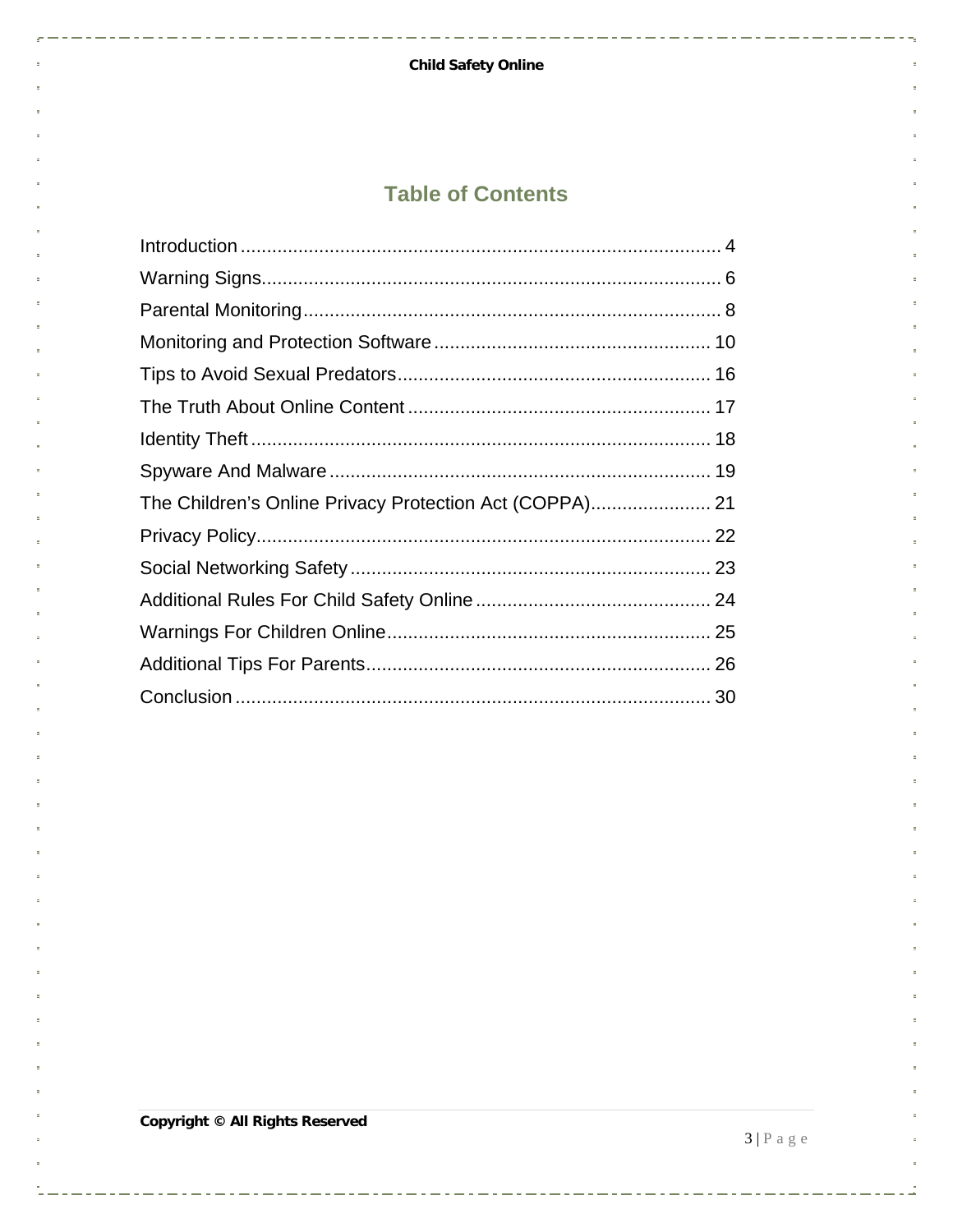#### **Child Safety Online**

 $\sim$  -  $\sim$ 

 $-$  -  $-$  -  $-$ 

. . . . . . . . . . . . . . .

#### **Table of Contents**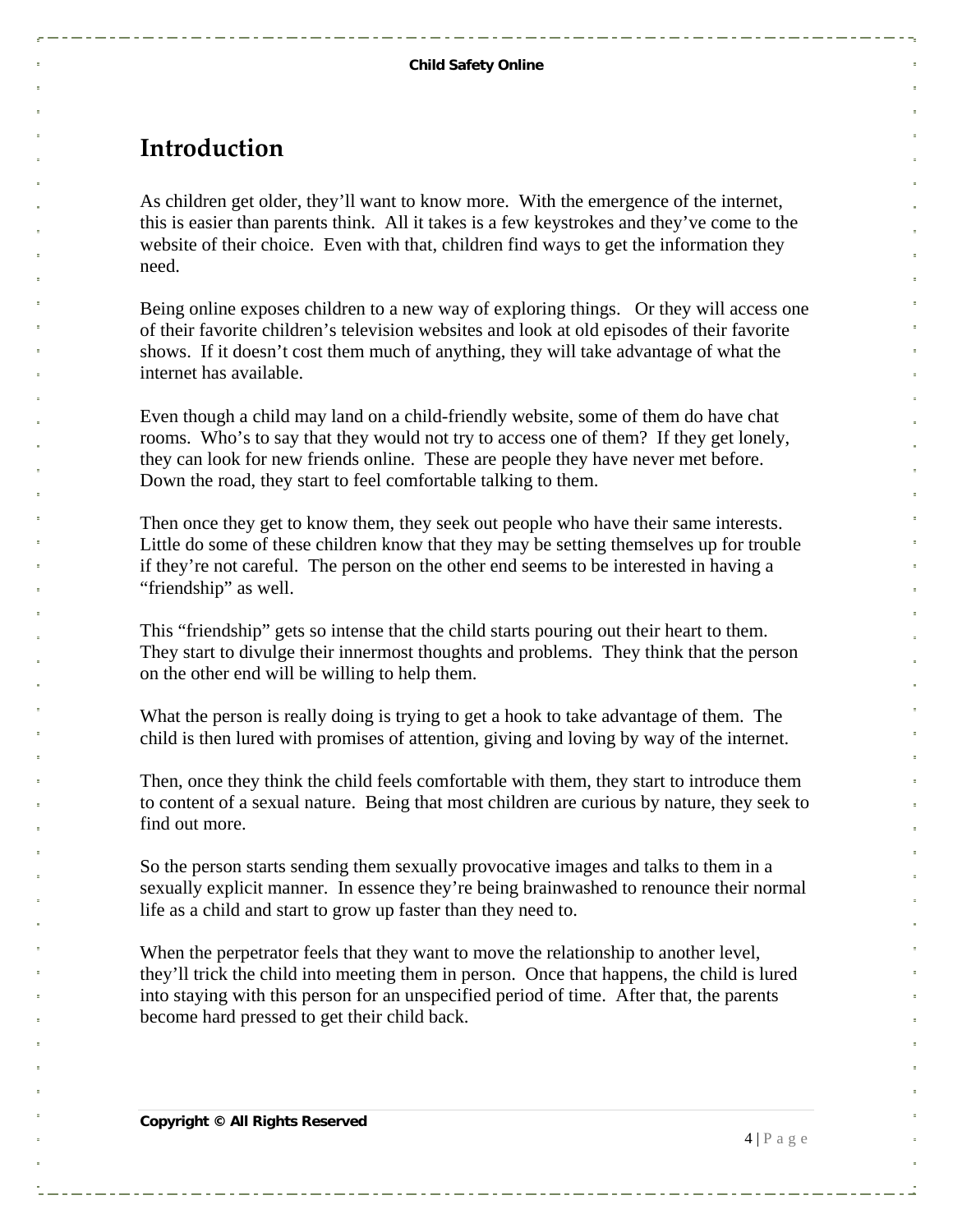#### <span id="page-3-0"></span>**Introduction**

As children get older, they'll want to know more. With the emergence of the internet, this is easier than parents think. All it takes is a few keystrokes and they've come to the website of their choice. Even with that, children find ways to get the information they need.

Being online exposes children to a new way of exploring things. Or they will access one of their favorite children's television websites and look at old episodes of their favorite shows. If it doesn't cost them much of anything, they will take advantage of what the internet has available.

Even though a child may land on a child-friendly website, some of them do have chat rooms. Who's to say that they would not try to access one of them? If they get lonely, they can look for new friends online. These are people they have never met before. Down the road, they start to feel comfortable talking to them.

Then once they get to know them, they seek out people who have their same interests. Little do some of these children know that they may be setting themselves up for trouble if they're not careful. The person on the other end seems to be interested in having a "friendship" as well.

This "friendship" gets so intense that the child starts pouring out their heart to them. They start to divulge their innermost thoughts and problems. They think that the person on the other end will be willing to help them.

What the person is really doing is trying to get a hook to take advantage of them. The child is then lured with promises of attention, giving and loving by way of the internet.

Then, once they think the child feels comfortable with them, they start to introduce them to content of a sexual nature. Being that most children are curious by nature, they seek to find out more.

So the person starts sending them sexually provocative images and talks to them in a sexually explicit manner. In essence they're being brainwashed to renounce their normal life as a child and start to grow up faster than they need to.

When the perpetrator feels that they want to move the relationship to another level, they'll trick the child into meeting them in person. Once that happens, the child is lured into staying with this person for an unspecified period of time. After that, the parents become hard pressed to get their child back.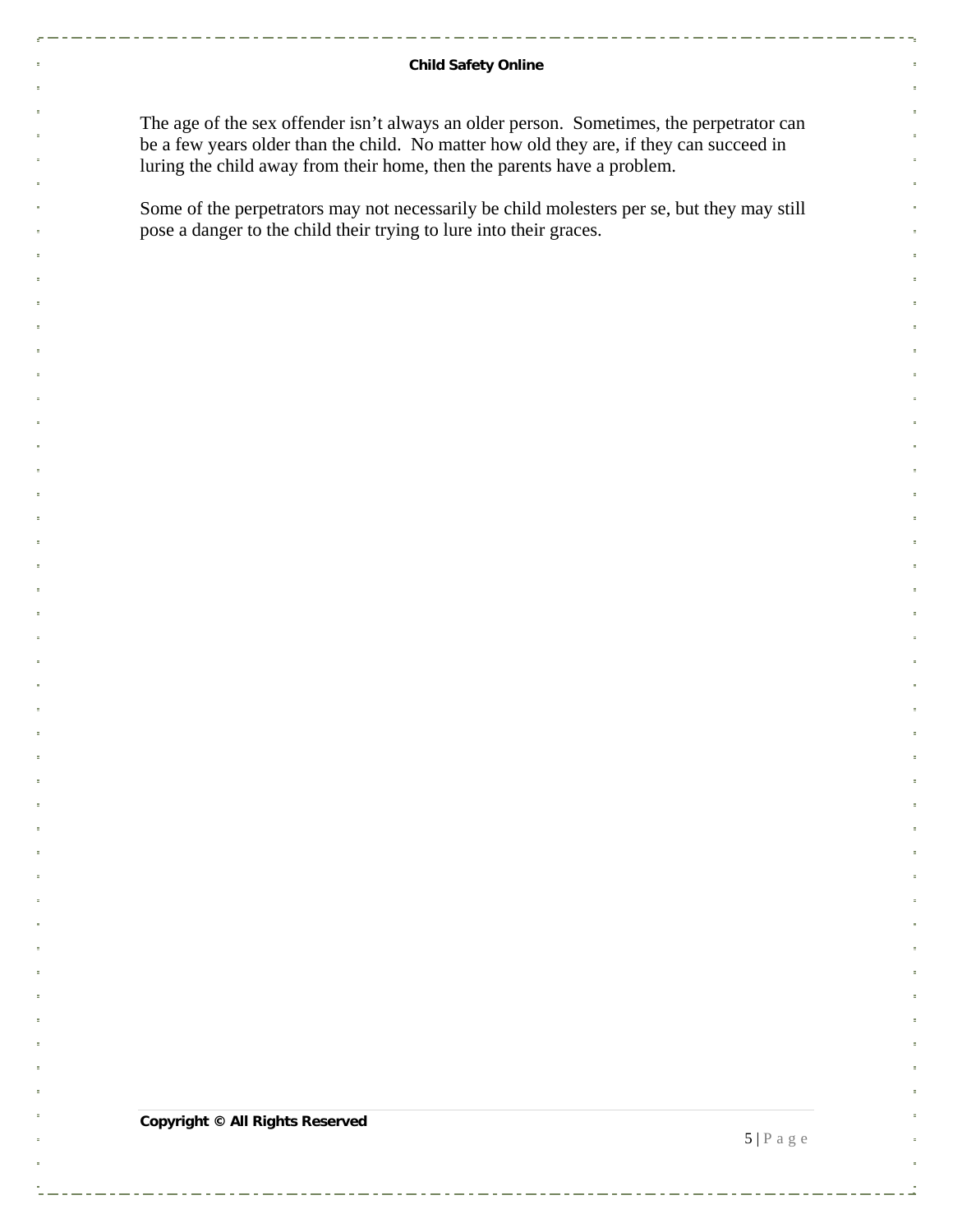#### **Child Safety Online**

The age of the sex offender isn't always an older person. Sometimes, the perpetrator can be a few years older than the child. No matter how old they are, if they can succeed in luring the child away from their home, then the parents have a problem.

Some of the perpetrators may not necessarily be child molesters per se, but they may still pose a danger to the child their trying to lure into their graces.

**Copyright © All Rights Reserved** 

 $5 | P \text{ a } g \text{ e}$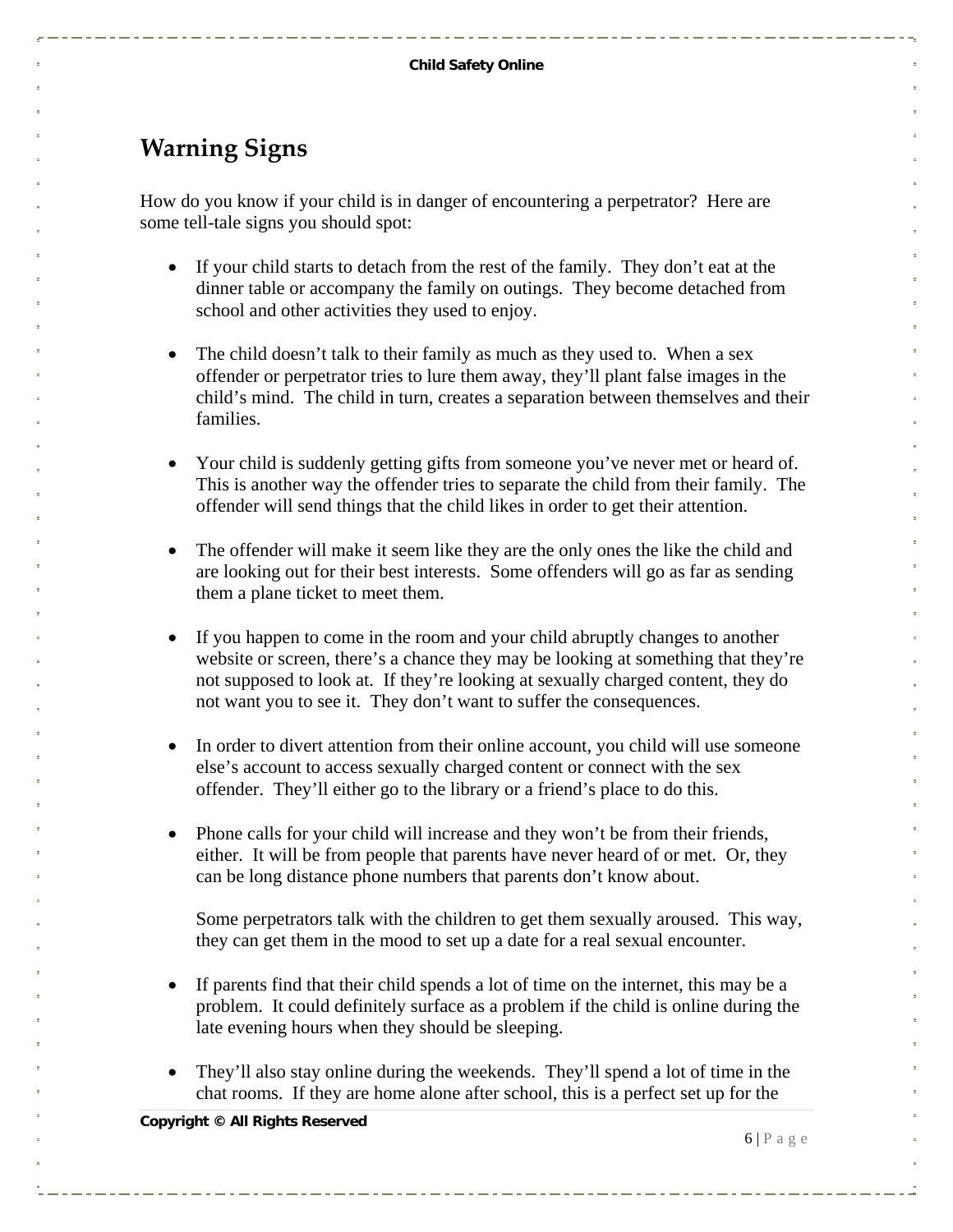### <span id="page-5-0"></span>**Warning Signs**

How do you know if your child is in danger of encountering a perpetrator? Here are some tell-tale signs you should spot:

- If your child starts to detach from the rest of the family. They don't eat at the dinner table or accompany the family on outings. They become detached from school and other activities they used to enjoy.
- The child doesn't talk to their family as much as they used to. When a sex offender or perpetrator tries to lure them away, they'll plant false images in the child's mind. The child in turn, creates a separation between themselves and their families.
- Your child is suddenly getting gifts from someone you've never met or heard of. This is another way the offender tries to separate the child from their family. The offender will send things that the child likes in order to get their attention.
- The offender will make it seem like they are the only ones the like the child and are looking out for their best interests. Some offenders will go as far as sending them a plane ticket to meet them.
- If you happen to come in the room and your child abruptly changes to another website or screen, there's a chance they may be looking at something that they're not supposed to look at. If they're looking at sexually charged content, they do not want you to see it. They don't want to suffer the consequences.
- In order to divert attention from their online account, you child will use someone else's account to access sexually charged content or connect with the sex offender. They'll either go to the library or a friend's place to do this.
- Phone calls for your child will increase and they won't be from their friends, either. It will be from people that parents have never heard of or met. Or, they can be long distance phone numbers that parents don't know about.

Some perpetrators talk with the children to get them sexually aroused. This way, they can get them in the mood to set up a date for a real sexual encounter.

- If parents find that their child spends a lot of time on the internet, this may be a problem. It could definitely surface as a problem if the child is online during the late evening hours when they should be sleeping.
- They'll also stay online during the weekends. They'll spend a lot of time in the chat rooms. If they are home alone after school, this is a perfect set up for the

**Copyright © All Rights Reserved** 

 $6 | P \text{ a } g \text{ e}$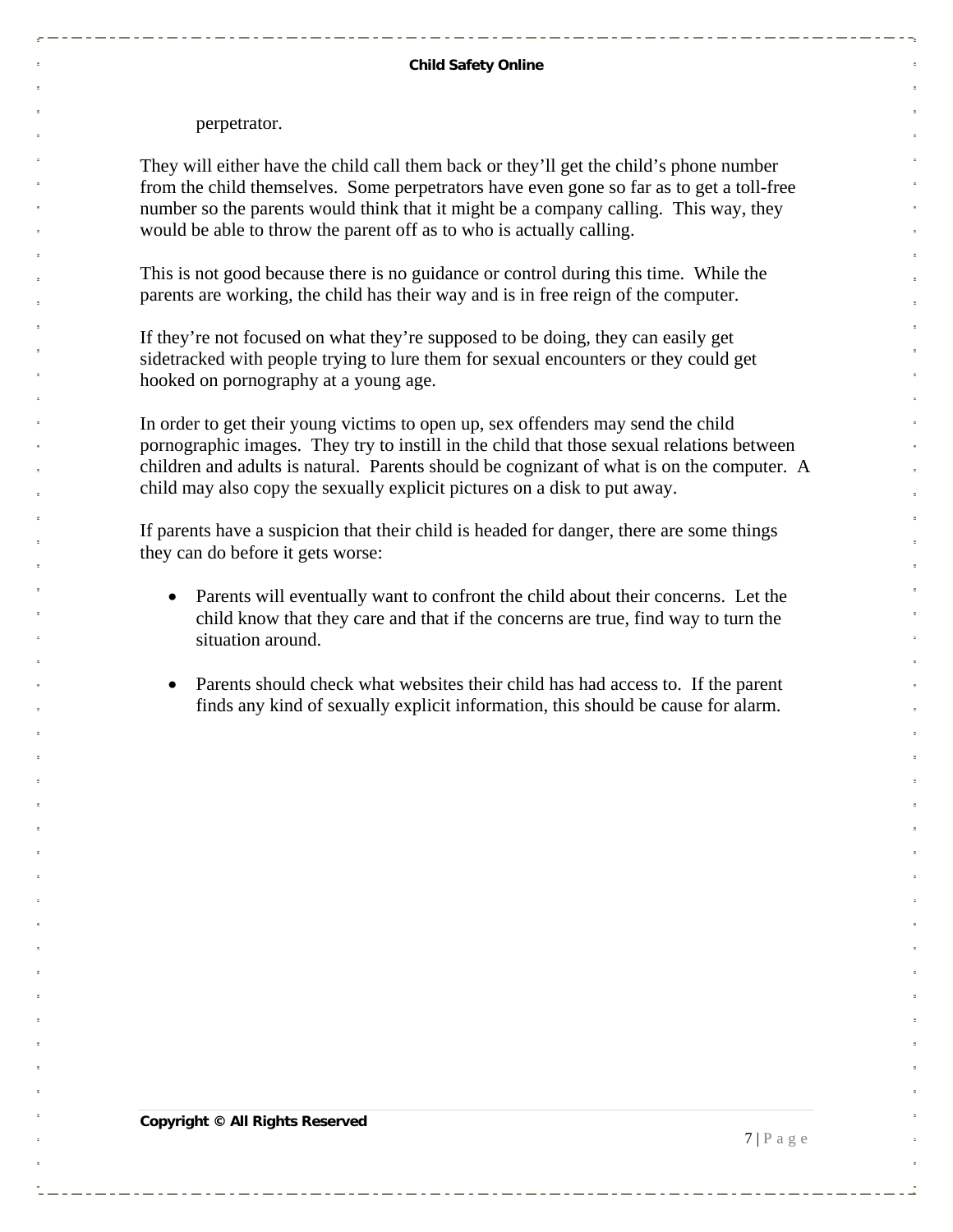perpetrator.

They will either have the child call them back or they'll get the child's phone number from the child themselves. Some perpetrators have even gone so far as to get a toll-free number so the parents would think that it might be a company calling. This way, they would be able to throw the parent off as to who is actually calling.

This is not good because there is no guidance or control during this time. While the parents are working, the child has their way and is in free reign of the computer.

If they're not focused on what they're supposed to be doing, they can easily get sidetracked with people trying to lure them for sexual encounters or they could get hooked on pornography at a young age.

In order to get their young victims to open up, sex offenders may send the child pornographic images. They try to instill in the child that those sexual relations between children and adults is natural. Parents should be cognizant of what is on the computer. A child may also copy the sexually explicit pictures on a disk to put away.

If parents have a suspicion that their child is headed for danger, there are some things they can do before it gets worse:

- Parents will eventually want to confront the child about their concerns. Let the child know that they care and that if the concerns are true, find way to turn the situation around.
- Parents should check what websites their child has had access to. If the parent finds any kind of sexually explicit information, this should be cause for alarm.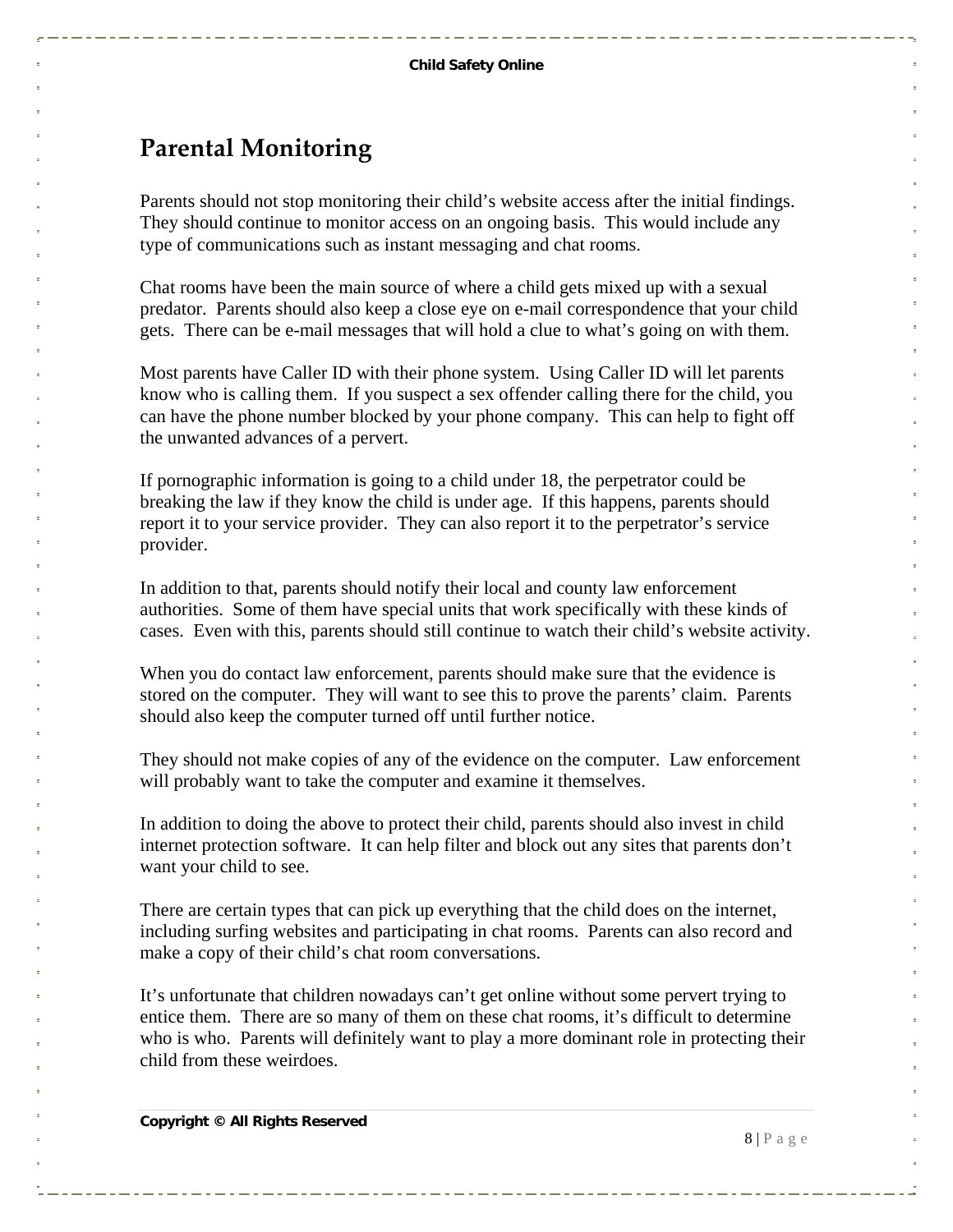#### <span id="page-7-0"></span>**Parental Monitoring**

Parents should not stop monitoring their child's website access after the initial findings. They should continue to monitor access on an ongoing basis. This would include any type of communications such as instant messaging and chat rooms.

Chat rooms have been the main source of where a child gets mixed up with a sexual predator. Parents should also keep a close eye on e-mail correspondence that your child gets. There can be e-mail messages that will hold a clue to what's going on with them.

Most parents have Caller ID with their phone system. Using Caller ID will let parents know who is calling them. If you suspect a sex offender calling there for the child, you can have the phone number blocked by your phone company. This can help to fight off the unwanted advances of a pervert.

If pornographic information is going to a child under 18, the perpetrator could be breaking the law if they know the child is under age. If this happens, parents should report it to your service provider. They can also report it to the perpetrator's service provider.

In addition to that, parents should notify their local and county law enforcement authorities. Some of them have special units that work specifically with these kinds of cases. Even with this, parents should still continue to watch their child's website activity.

When you do contact law enforcement, parents should make sure that the evidence is stored on the computer. They will want to see this to prove the parents' claim. Parents should also keep the computer turned off until further notice.

They should not make copies of any of the evidence on the computer. Law enforcement will probably want to take the computer and examine it themselves.

In addition to doing the above to protect their child, parents should also invest in child internet protection software. It can help filter and block out any sites that parents don't want your child to see.

There are certain types that can pick up everything that the child does on the internet, including surfing websites and participating in chat rooms. Parents can also record and make a copy of their child's chat room conversations.

It's unfortunate that children nowadays can't get online without some pervert trying to entice them. There are so many of them on these chat rooms, it's difficult to determine who is who. Parents will definitely want to play a more dominant role in protecting their child from these weirdoes.

**Copyright © All Rights Reserved** 

 $8 | P \text{ a } g \text{ e}$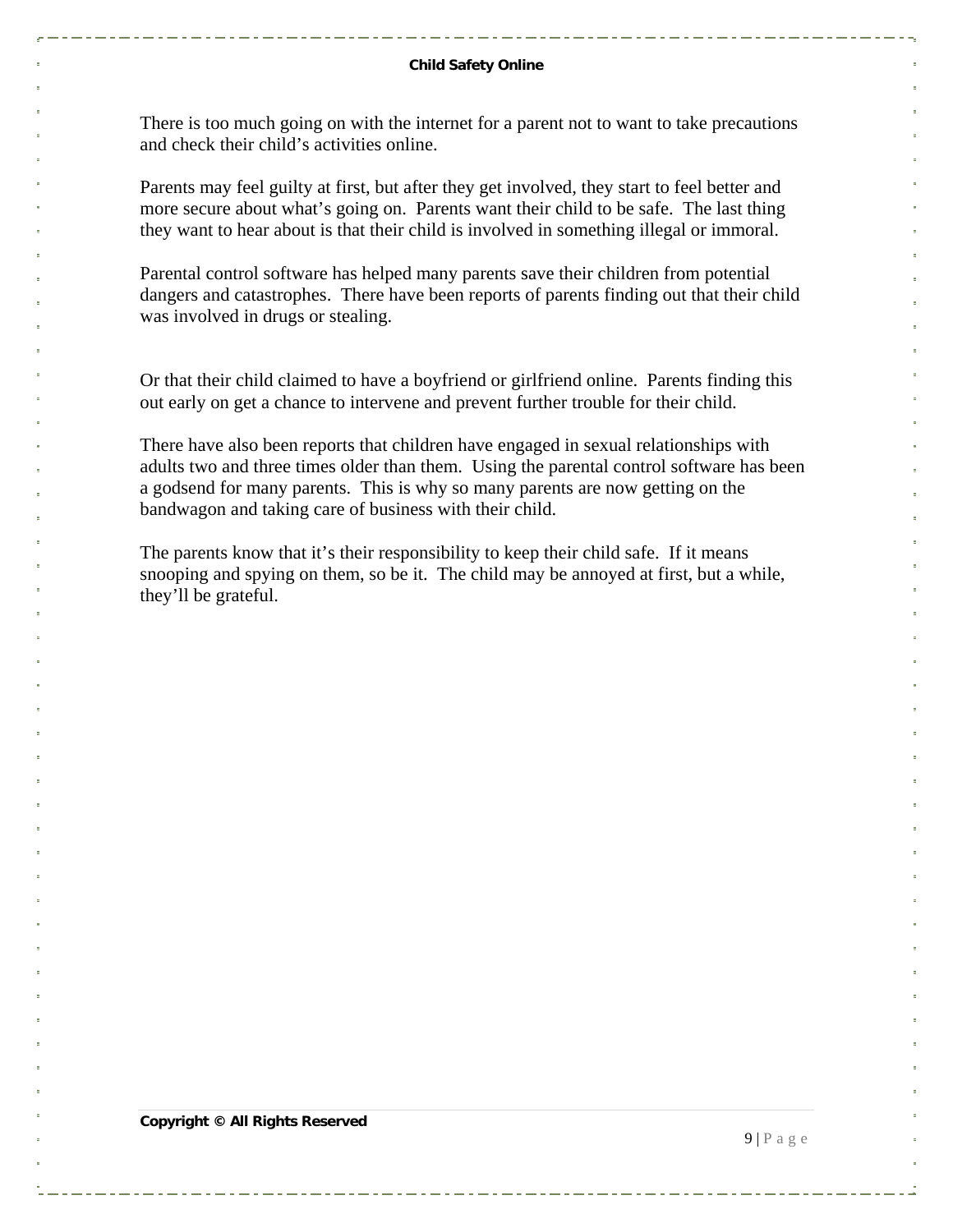There is too much going on with the internet for a parent not to want to take precautions and check their child's activities online.

Parents may feel guilty at first, but after they get involved, they start to feel better and more secure about what's going on. Parents want their child to be safe. The last thing they want to hear about is that their child is involved in something illegal or immoral.

Parental control software has helped many parents save their children from potential dangers and catastrophes. There have been reports of parents finding out that their child was involved in drugs or stealing.

Or that their child claimed to have a boyfriend or girlfriend online. Parents finding this out early on get a chance to intervene and prevent further trouble for their child.

There have also been reports that children have engaged in sexual relationships with adults two and three times older than them. Using the parental control software has been a godsend for many parents. This is why so many parents are now getting on the bandwagon and taking care of business with their child.

The parents know that it's their responsibility to keep their child safe. If it means snooping and spying on them, so be it. The child may be annoyed at first, but a while, they'll be grateful.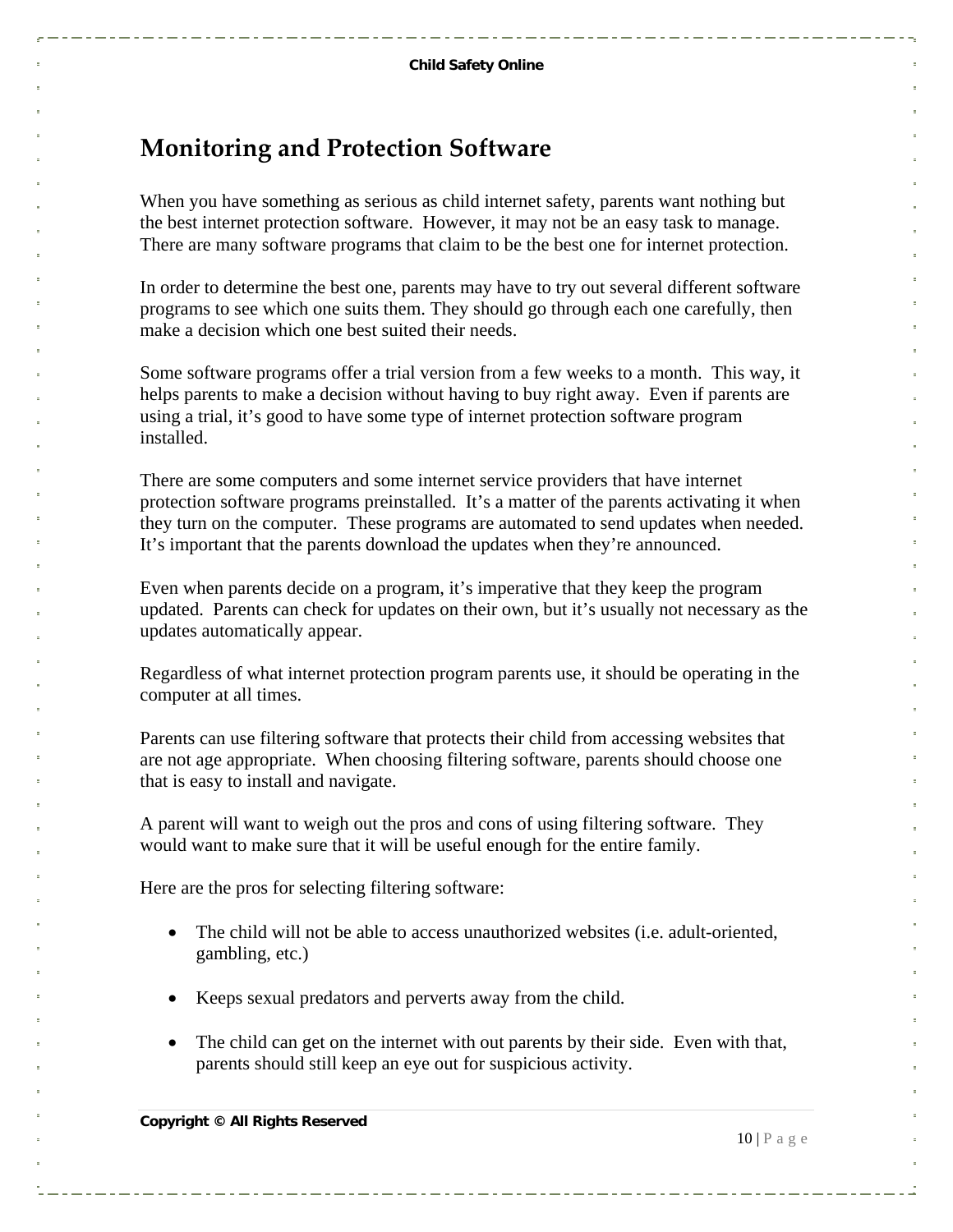#### <span id="page-9-0"></span>**Monitoring and Protection Software**

When you have something as serious as child internet safety, parents want nothing but the best internet protection software. However, it may not be an easy task to manage. There are many software programs that claim to be the best one for internet protection.

In order to determine the best one, parents may have to try out several different software programs to see which one suits them. They should go through each one carefully, then make a decision which one best suited their needs.

Some software programs offer a trial version from a few weeks to a month. This way, it helps parents to make a decision without having to buy right away. Even if parents are using a trial, it's good to have some type of internet protection software program installed.

There are some computers and some internet service providers that have internet protection software programs preinstalled. It's a matter of the parents activating it when they turn on the computer. These programs are automated to send updates when needed. It's important that the parents download the updates when they're announced.

Even when parents decide on a program, it's imperative that they keep the program updated. Parents can check for updates on their own, but it's usually not necessary as the updates automatically appear.

Regardless of what internet protection program parents use, it should be operating in the computer at all times.

Parents can use filtering software that protects their child from accessing websites that are not age appropriate. When choosing filtering software, parents should choose one that is easy to install and navigate.

A parent will want to weigh out the pros and cons of using filtering software. They would want to make sure that it will be useful enough for the entire family.

Here are the pros for selecting filtering software:

- The child will not be able to access unauthorized websites (i.e. adult-oriented, gambling, etc.)
- Keeps sexual predators and perverts away from the child.
- The child can get on the internet with out parents by their side. Even with that, parents should still keep an eye out for suspicious activity.

 $10 | P$  a g e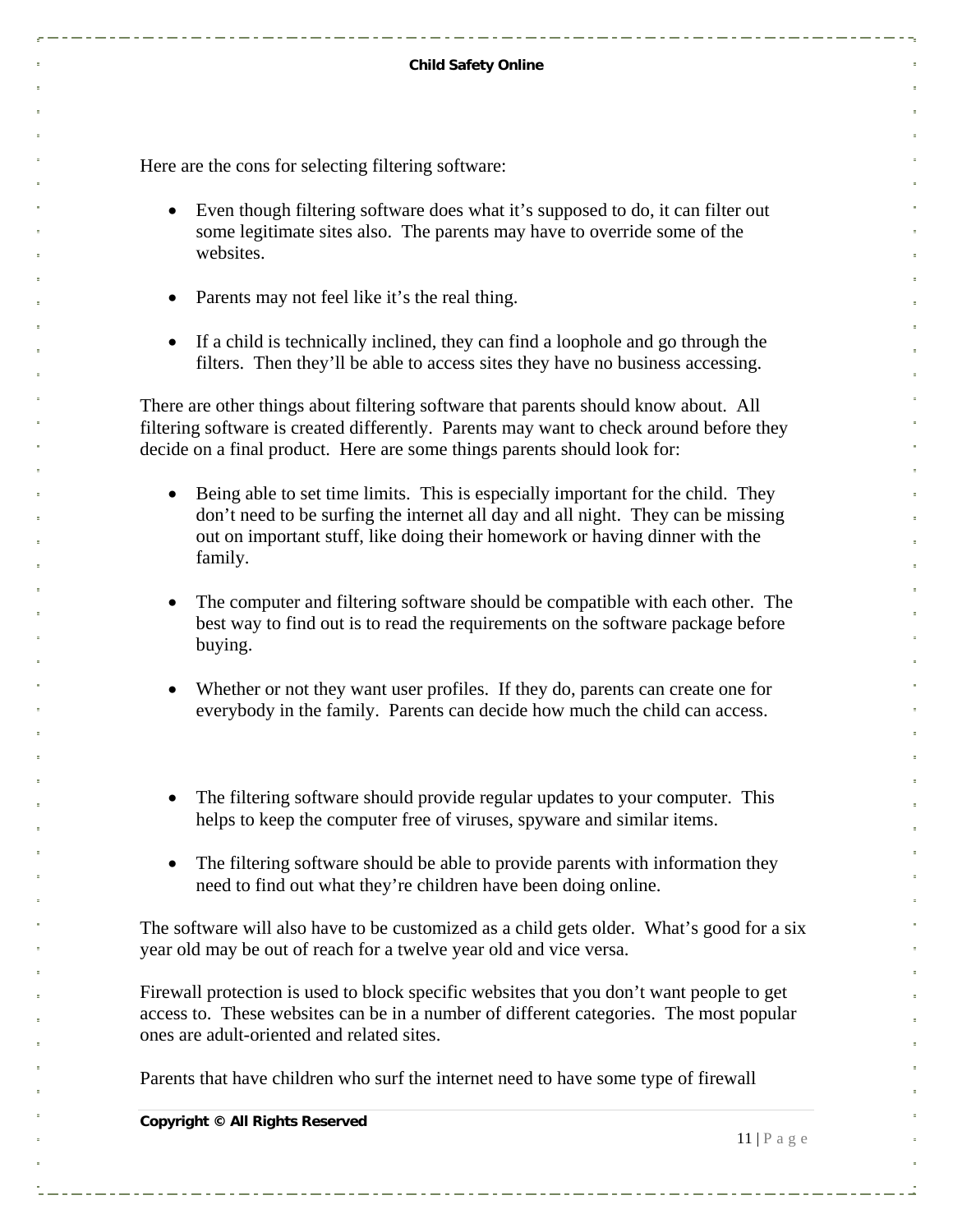Here are the cons for selecting filtering software:

- Even though filtering software does what it's supposed to do, it can filter out some legitimate sites also. The parents may have to override some of the websites.
- Parents may not feel like it's the real thing.
- If a child is technically inclined, they can find a loophole and go through the filters. Then they'll be able to access sites they have no business accessing.

There are other things about filtering software that parents should know about. All filtering software is created differently. Parents may want to check around before they decide on a final product. Here are some things parents should look for:

- Being able to set time limits. This is especially important for the child. They don't need to be surfing the internet all day and all night. They can be missing out on important stuff, like doing their homework or having dinner with the family.
- The computer and filtering software should be compatible with each other. The best way to find out is to read the requirements on the software package before buying.
- Whether or not they want user profiles. If they do, parents can create one for everybody in the family. Parents can decide how much the child can access.
- The filtering software should provide regular updates to your computer. This helps to keep the computer free of viruses, spyware and similar items.
- The filtering software should be able to provide parents with information they need to find out what they're children have been doing online.

The software will also have to be customized as a child gets older. What's good for a six year old may be out of reach for a twelve year old and vice versa.

Firewall protection is used to block specific websites that you don't want people to get access to. These websites can be in a number of different categories. The most popular ones are adult-oriented and related sites.

Parents that have children who surf the internet need to have some type of firewall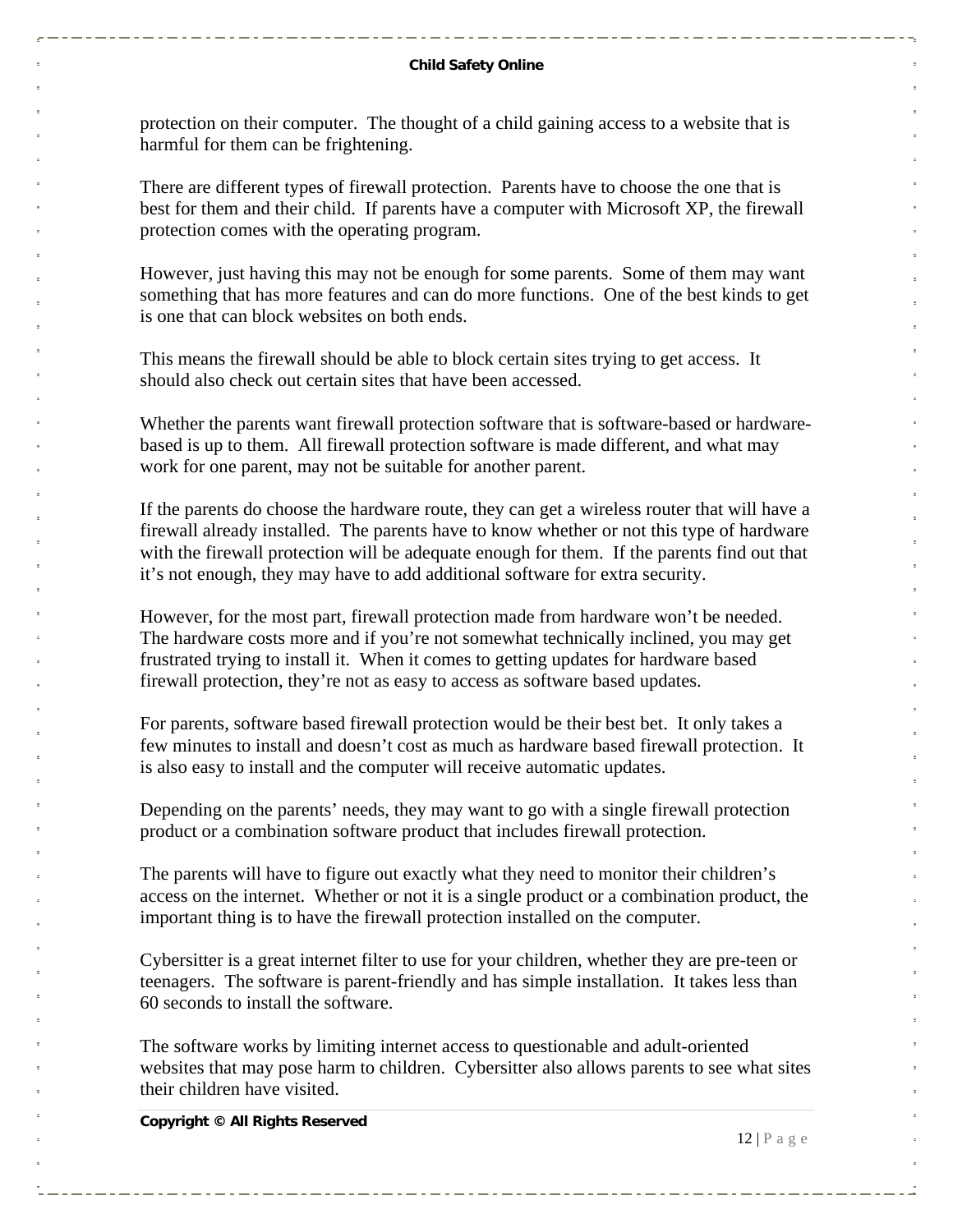protection on their computer. The thought of a child gaining access to a website that is harmful for them can be frightening.

There are different types of firewall protection. Parents have to choose the one that is best for them and their child. If parents have a computer with Microsoft XP, the firewall protection comes with the operating program.

However, just having this may not be enough for some parents. Some of them may want something that has more features and can do more functions. One of the best kinds to get is one that can block websites on both ends.

This means the firewall should be able to block certain sites trying to get access. It should also check out certain sites that have been accessed.

Whether the parents want firewall protection software that is software-based or hardwarebased is up to them. All firewall protection software is made different, and what may work for one parent, may not be suitable for another parent.

If the parents do choose the hardware route, they can get a wireless router that will have a firewall already installed. The parents have to know whether or not this type of hardware with the firewall protection will be adequate enough for them. If the parents find out that it's not enough, they may have to add additional software for extra security.

However, for the most part, firewall protection made from hardware won't be needed. The hardware costs more and if you're not somewhat technically inclined, you may get frustrated trying to install it. When it comes to getting updates for hardware based firewall protection, they're not as easy to access as software based updates.

For parents, software based firewall protection would be their best bet. It only takes a few minutes to install and doesn't cost as much as hardware based firewall protection. It is also easy to install and the computer will receive automatic updates.

Depending on the parents' needs, they may want to go with a single firewall protection product or a combination software product that includes firewall protection.

The parents will have to figure out exactly what they need to monitor their children's access on the internet. Whether or not it is a single product or a combination product, the important thing is to have the firewall protection installed on the computer.

Cybersitter is a great internet filter to use for your children, whether they are pre-teen or teenagers. The software is parent-friendly and has simple installation. It takes less than 60 seconds to install the software.

The software works by limiting internet access to questionable and adult-oriented websites that may pose harm to children. Cybersitter also allows parents to see what sites their children have visited.

**Copyright © All Rights Reserved** 

 $12 | P \text{ a } g \text{ e}$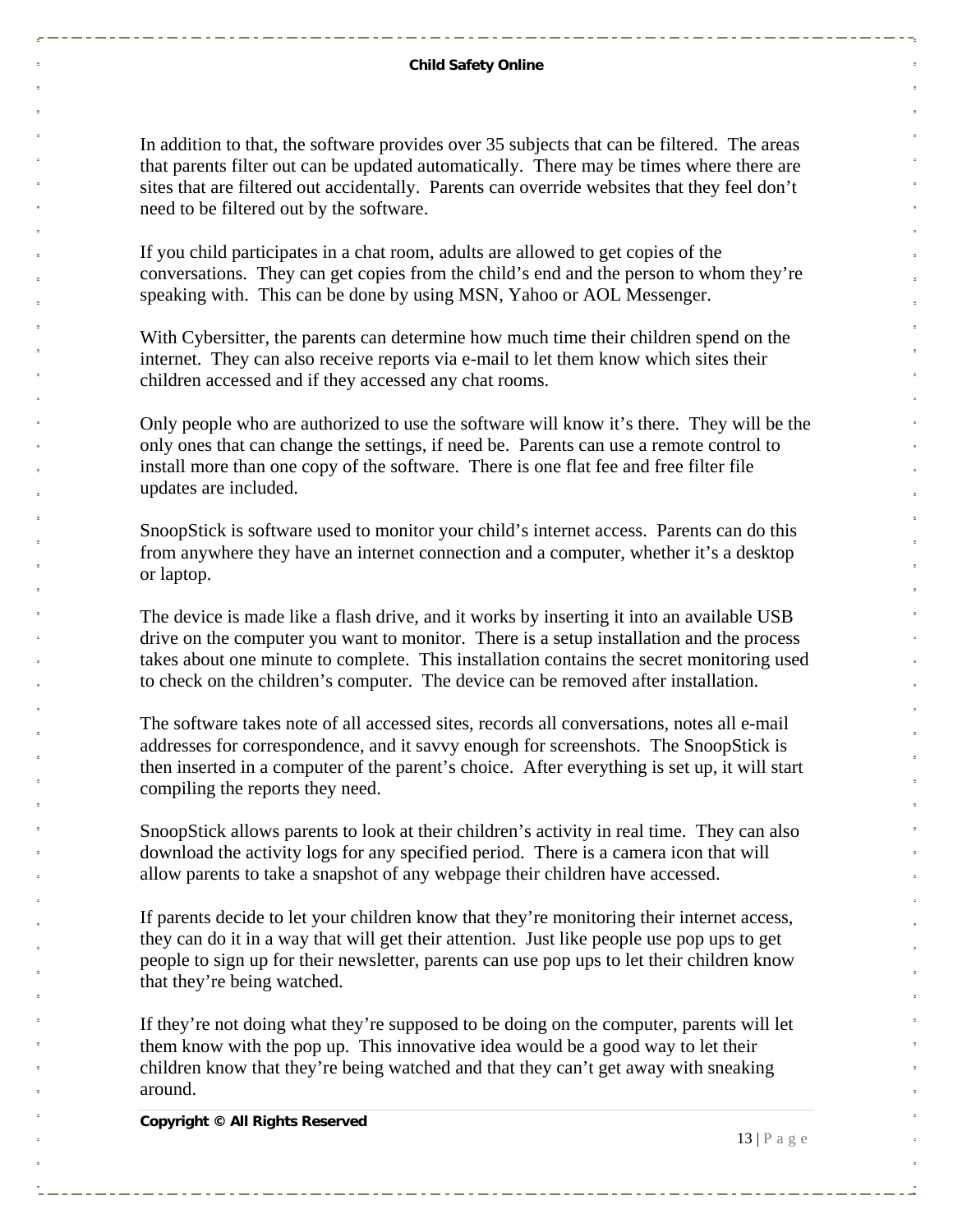In addition to that, the software provides over 35 subjects that can be filtered. The areas that parents filter out can be updated automatically. There may be times where there are sites that are filtered out accidentally. Parents can override websites that they feel don't need to be filtered out by the software.

If you child participates in a chat room, adults are allowed to get copies of the conversations. They can get copies from the child's end and the person to whom they're speaking with. This can be done by using MSN, Yahoo or AOL Messenger.

With Cybersitter, the parents can determine how much time their children spend on the internet. They can also receive reports via e-mail to let them know which sites their children accessed and if they accessed any chat rooms.

Only people who are authorized to use the software will know it's there. They will be the only ones that can change the settings, if need be. Parents can use a remote control to install more than one copy of the software. There is one flat fee and free filter file updates are included.

SnoopStick is software used to monitor your child's internet access. Parents can do this from anywhere they have an internet connection and a computer, whether it's a desktop or laptop.

The device is made like a flash drive, and it works by inserting it into an available USB drive on the computer you want to monitor. There is a setup installation and the process takes about one minute to complete. This installation contains the secret monitoring used to check on the children's computer. The device can be removed after installation.

The software takes note of all accessed sites, records all conversations, notes all e-mail addresses for correspondence, and it savvy enough for screenshots. The SnoopStick is then inserted in a computer of the parent's choice. After everything is set up, it will start compiling the reports they need.

SnoopStick allows parents to look at their children's activity in real time. They can also download the activity logs for any specified period. There is a camera icon that will allow parents to take a snapshot of any webpage their children have accessed.

If parents decide to let your children know that they're monitoring their internet access, they can do it in a way that will get their attention. Just like people use pop ups to get people to sign up for their newsletter, parents can use pop ups to let their children know that they're being watched.

If they're not doing what they're supposed to be doing on the computer, parents will let them know with the pop up. This innovative idea would be a good way to let their children know that they're being watched and that they can't get away with sneaking around.

**Copyright © All Rights Reserved** 

 $13 | P \text{ a } g \text{ e}$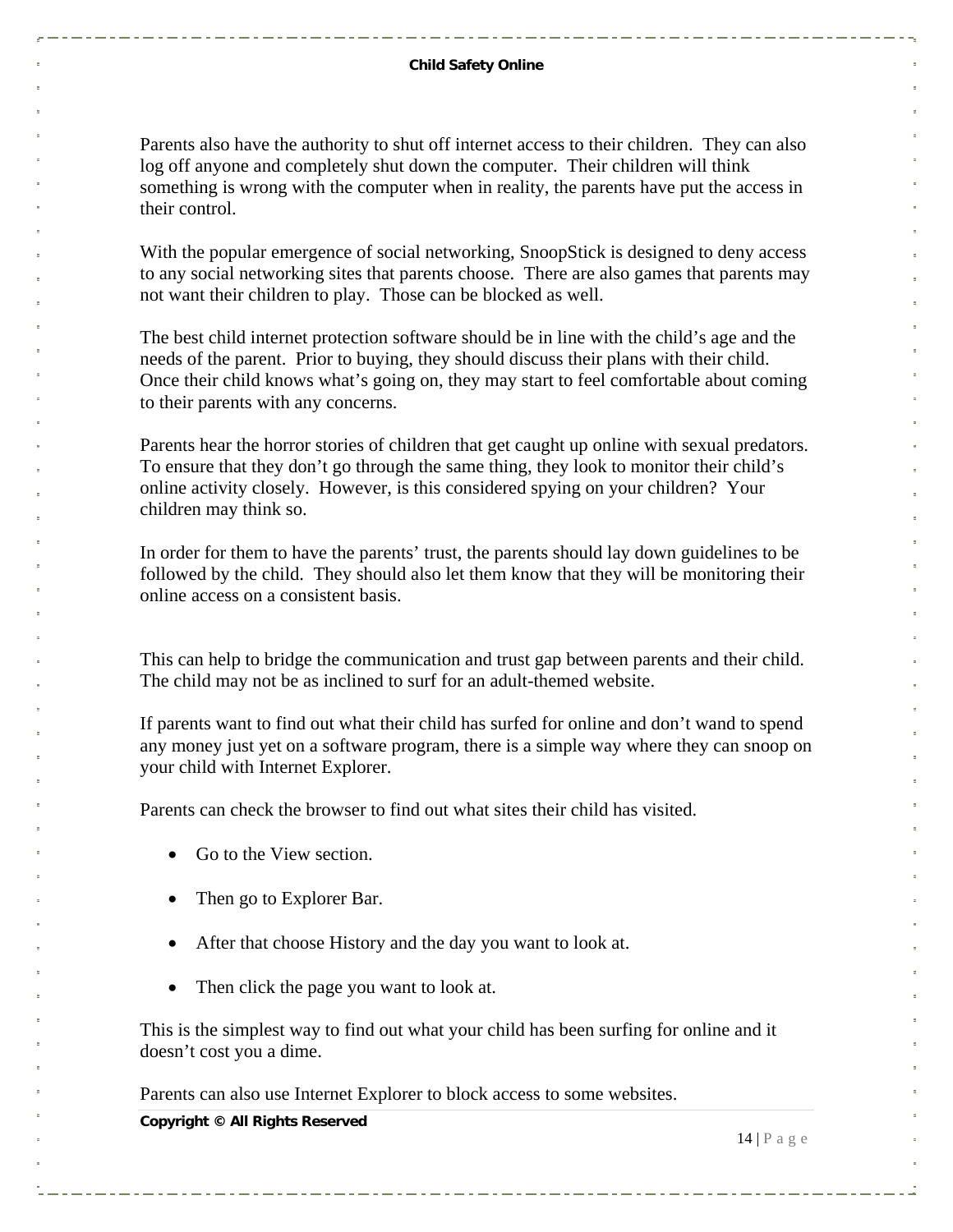#### **Child Safety Online**

Parents also have the authority to shut off internet access to their children. They can also log off anyone and completely shut down the computer. Their children will think something is wrong with the computer when in reality, the parents have put the access in their control.

With the popular emergence of social networking, SnoopStick is designed to deny access to any social networking sites that parents choose. There are also games that parents may not want their children to play. Those can be blocked as well.

The best child internet protection software should be in line with the child's age and the needs of the parent. Prior to buying, they should discuss their plans with their child. Once their child knows what's going on, they may start to feel comfortable about coming to their parents with any concerns.

Parents hear the horror stories of children that get caught up online with sexual predators. To ensure that they don't go through the same thing, they look to monitor their child's online activity closely. However, is this considered spying on your children? Your children may think so.

In order for them to have the parents' trust, the parents should lay down guidelines to be followed by the child. They should also let them know that they will be monitoring their online access on a consistent basis.

This can help to bridge the communication and trust gap between parents and their child. The child may not be as inclined to surf for an adult-themed website.

If parents want to find out what their child has surfed for online and don't wand to spend any money just yet on a software program, there is a simple way where they can snoop on your child with Internet Explorer.

Parents can check the browser to find out what sites their child has visited.

- Go to the View section.
- Then go to Explorer Bar.
- After that choose History and the day you want to look at.
- Then click the page you want to look at.

This is the simplest way to find out what your child has been surfing for online and it doesn't cost you a dime.

Parents can also use Internet Explorer to block access to some websites.

**Copyright © All Rights Reserved** 

 $14 | P \text{ a g e}$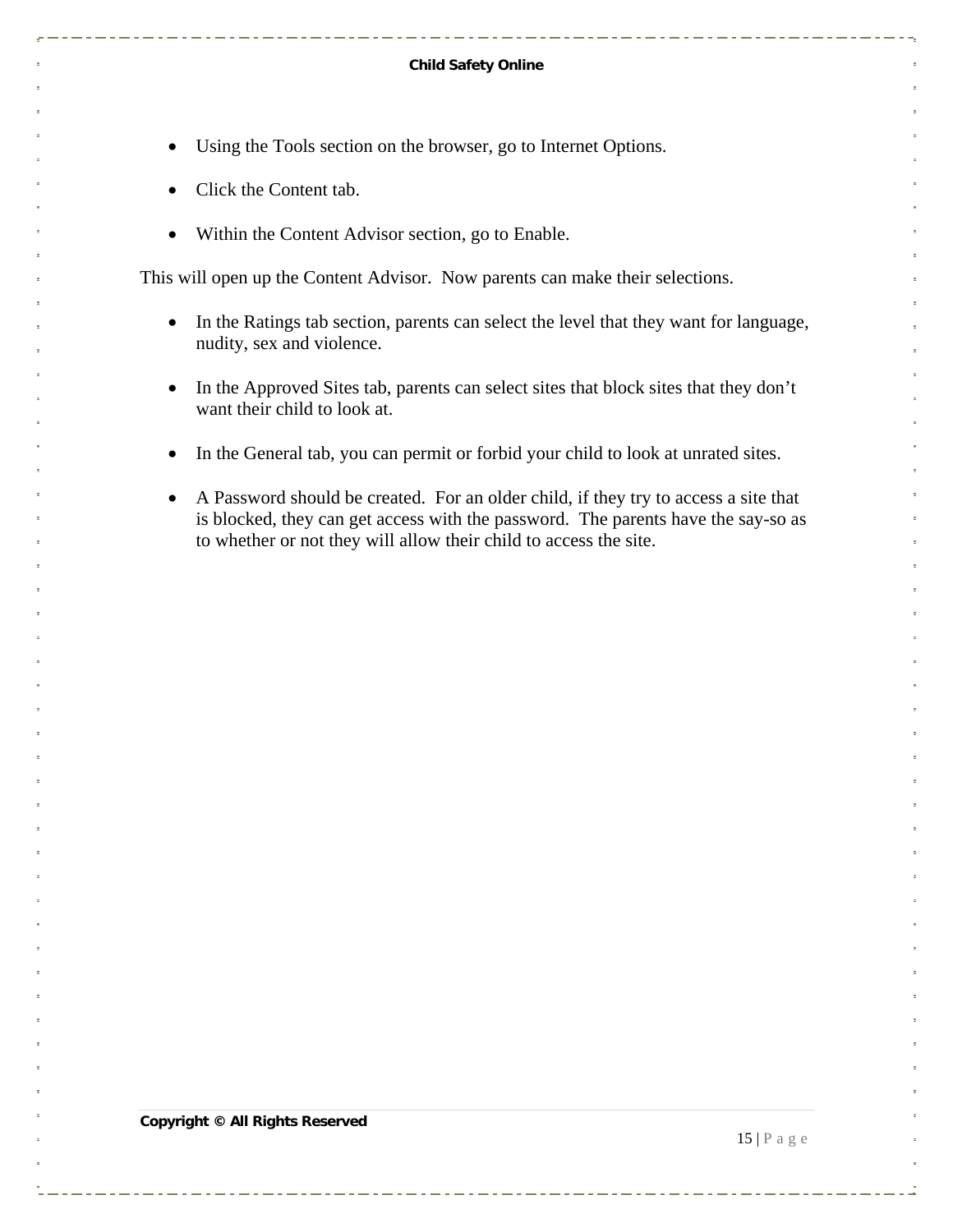#### **Child Safety Online**

- Using the Tools section on the browser, go to Internet Options.
- Click the Content tab.
- Within the Content Advisor section, go to Enable.

This will open up the Content Advisor. Now parents can make their selections.

- In the Ratings tab section, parents can select the level that they want for language, nudity, sex and violence.
- In the Approved Sites tab, parents can select sites that block sites that they don't want their child to look at.
- In the General tab, you can permit or forbid your child to look at unrated sites.
- A Password should be created. For an older child, if they try to access a site that is blocked, they can get access with the password. The parents have the say-so as to whether or not they will allow their child to access the site.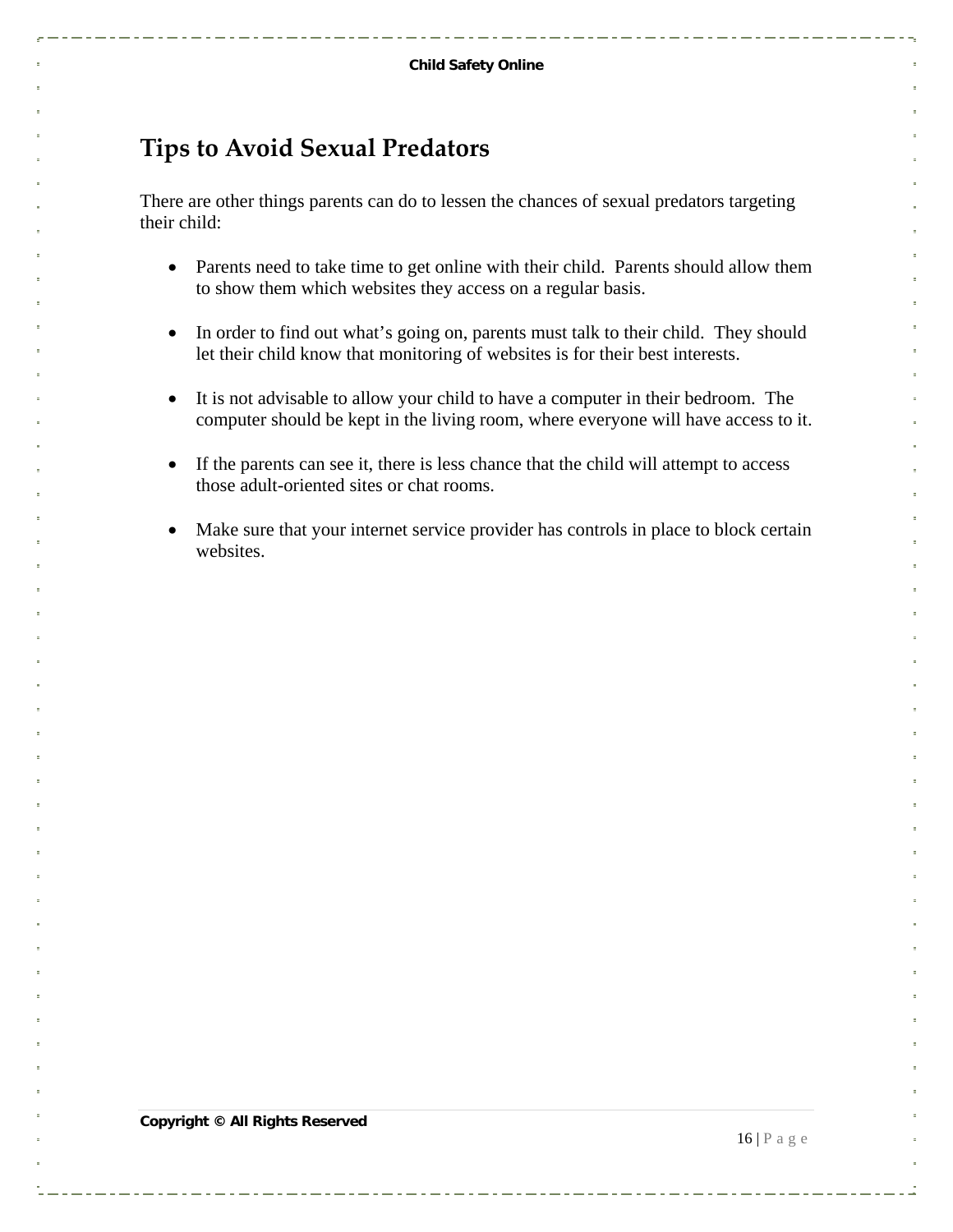. . . . . . . . . . . . . . .

## <span id="page-15-0"></span>**Tips to Avoid Sexual Predators**

There are other things parents can do to lessen the chances of sexual predators targeting their child:

- Parents need to take time to get online with their child. Parents should allow them to show them which websites they access on a regular basis.
- In order to find out what's going on, parents must talk to their child. They should let their child know that monitoring of websites is for their best interests.
- It is not advisable to allow your child to have a computer in their bedroom. The computer should be kept in the living room, where everyone will have access to it.
- If the parents can see it, there is less chance that the child will attempt to access those adult-oriented sites or chat rooms.
- Make sure that your internet service provider has controls in place to block certain websites.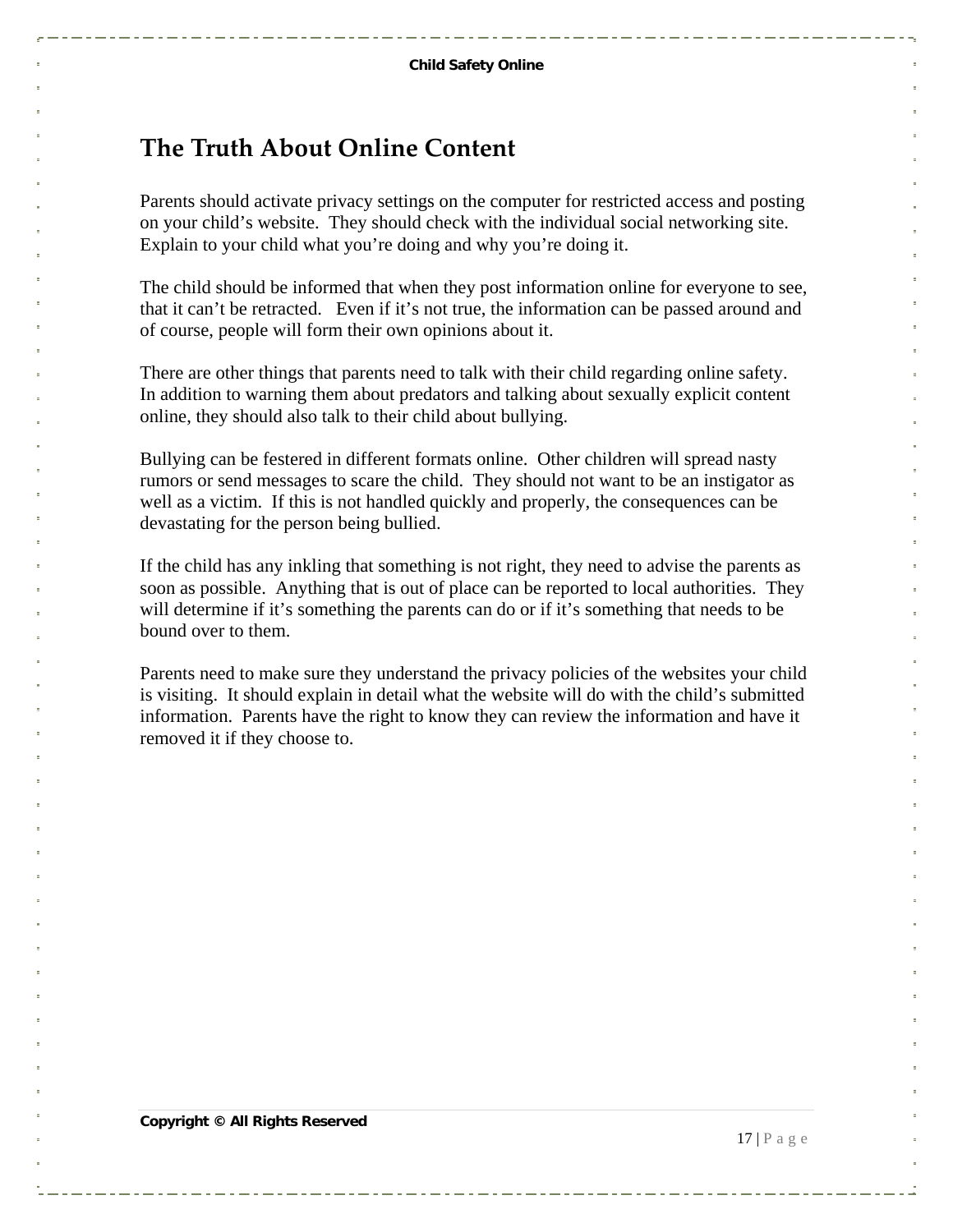#### <span id="page-16-0"></span>**The Truth About Online Content**

Parents should activate privacy settings on the computer for restricted access and posting on your child's website. They should check with the individual social networking site. Explain to your child what you're doing and why you're doing it.

The child should be informed that when they post information online for everyone to see, that it can't be retracted. Even if it's not true, the information can be passed around and of course, people will form their own opinions about it.

There are other things that parents need to talk with their child regarding online safety. In addition to warning them about predators and talking about sexually explicit content online, they should also talk to their child about bullying.

Bullying can be festered in different formats online. Other children will spread nasty rumors or send messages to scare the child. They should not want to be an instigator as well as a victim. If this is not handled quickly and properly, the consequences can be devastating for the person being bullied.

If the child has any inkling that something is not right, they need to advise the parents as soon as possible. Anything that is out of place can be reported to local authorities. They will determine if it's something the parents can do or if it's something that needs to be bound over to them.

Parents need to make sure they understand the privacy policies of the websites your child is visiting. It should explain in detail what the website will do with the child's submitted information. Parents have the right to know they can review the information and have it removed it if they choose to.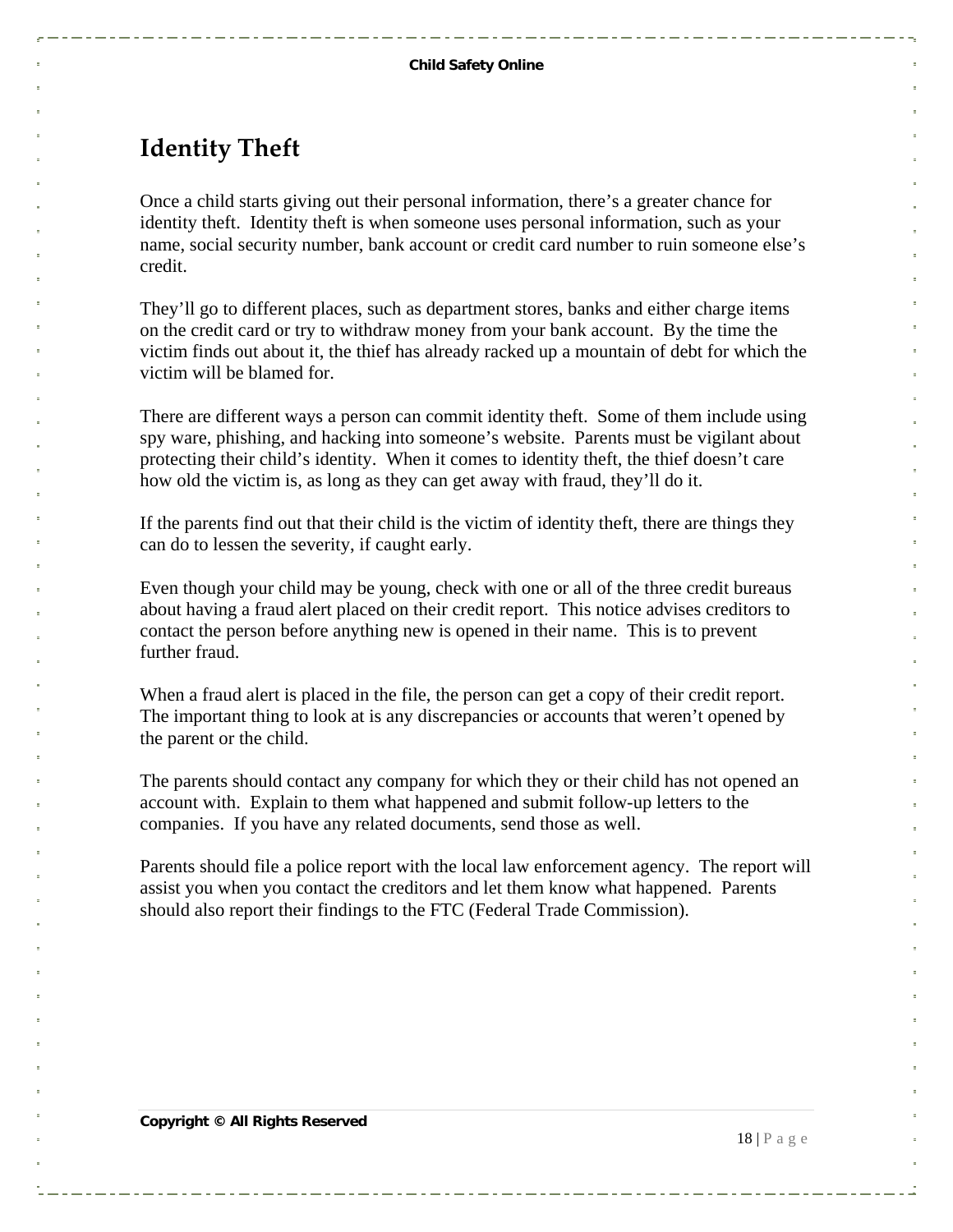#### <span id="page-17-0"></span>**Identity Theft**

Once a child starts giving out their personal information, there's a greater chance for identity theft. Identity theft is when someone uses personal information, such as your name, social security number, bank account or credit card number to ruin someone else's credit.

They'll go to different places, such as department stores, banks and either charge items on the credit card or try to withdraw money from your bank account. By the time the victim finds out about it, the thief has already racked up a mountain of debt for which the victim will be blamed for.

There are different ways a person can commit identity theft. Some of them include using spy ware, phishing, and hacking into someone's website. Parents must be vigilant about protecting their child's identity. When it comes to identity theft, the thief doesn't care how old the victim is, as long as they can get away with fraud, they'll do it.

If the parents find out that their child is the victim of identity theft, there are things they can do to lessen the severity, if caught early.

Even though your child may be young, check with one or all of the three credit bureaus about having a fraud alert placed on their credit report. This notice advises creditors to contact the person before anything new is opened in their name. This is to prevent further fraud.

When a fraud alert is placed in the file, the person can get a copy of their credit report. The important thing to look at is any discrepancies or accounts that weren't opened by the parent or the child.

The parents should contact any company for which they or their child has not opened an account with. Explain to them what happened and submit follow-up letters to the companies. If you have any related documents, send those as well.

Parents should file a police report with the local law enforcement agency. The report will assist you when you contact the creditors and let them know what happened. Parents should also report their findings to the FTC (Federal Trade Commission).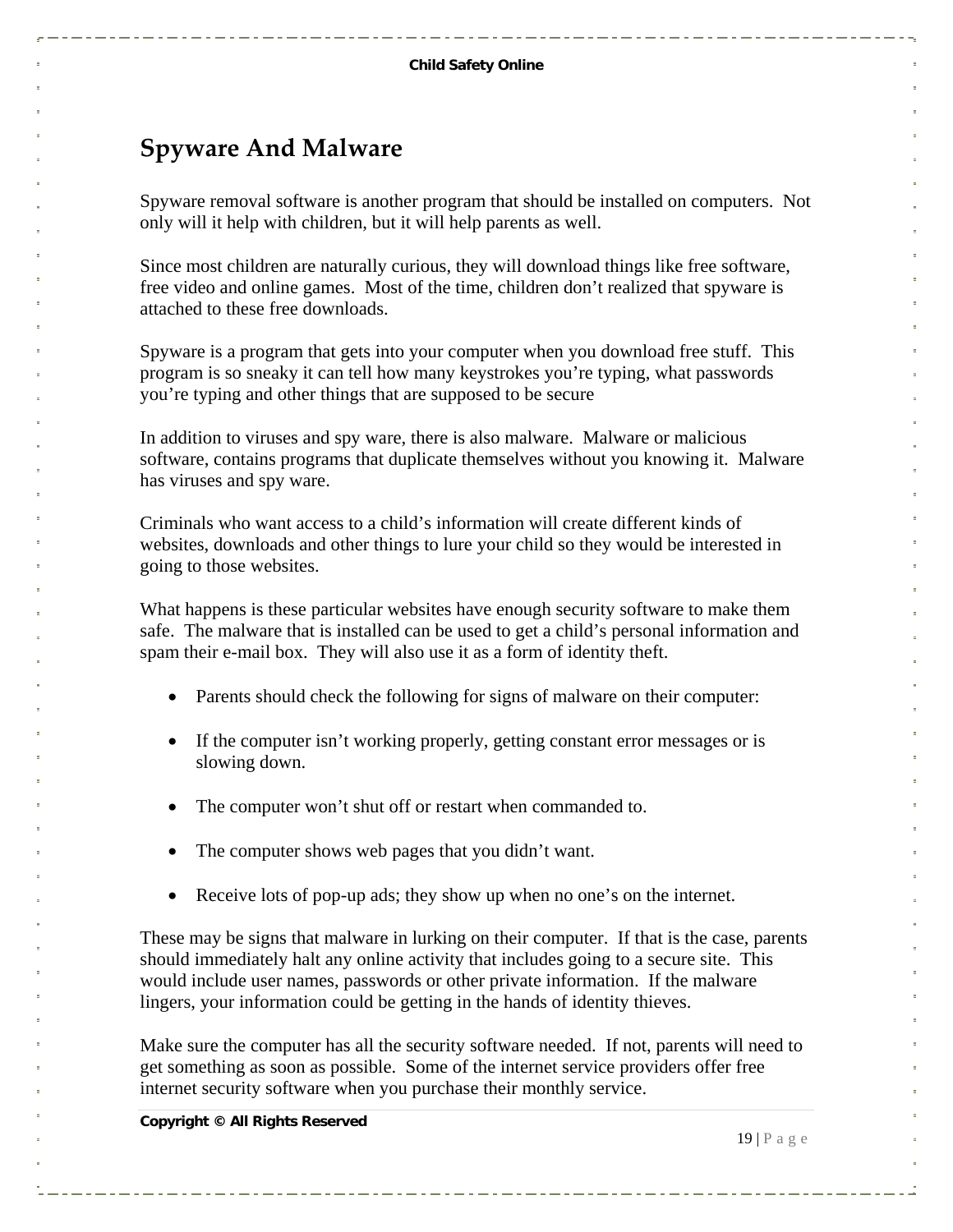### <span id="page-18-0"></span>**Spyware And Malware**

Spyware removal software is another program that should be installed on computers. Not only will it help with children, but it will help parents as well.

Since most children are naturally curious, they will download things like free software, free video and online games. Most of the time, children don't realized that spyware is attached to these free downloads.

Spyware is a program that gets into your computer when you download free stuff. This program is so sneaky it can tell how many keystrokes you're typing, what passwords you're typing and other things that are supposed to be secure

In addition to viruses and spy ware, there is also malware. Malware or malicious software, contains programs that duplicate themselves without you knowing it. Malware has viruses and spy ware.

Criminals who want access to a child's information will create different kinds of websites, downloads and other things to lure your child so they would be interested in going to those websites.

What happens is these particular websites have enough security software to make them safe. The malware that is installed can be used to get a child's personal information and spam their e-mail box. They will also use it as a form of identity theft.

- Parents should check the following for signs of malware on their computer:
- If the computer isn't working properly, getting constant error messages or is slowing down.
- The computer won't shut off or restart when commanded to.
- The computer shows web pages that you didn't want.
- Receive lots of pop-up ads; they show up when no one's on the internet.

These may be signs that malware in lurking on their computer. If that is the case, parents should immediately halt any online activity that includes going to a secure site. This would include user names, passwords or other private information. If the malware lingers, your information could be getting in the hands of identity thieves.

Make sure the computer has all the security software needed. If not, parents will need to get something as soon as possible. Some of the internet service providers offer free internet security software when you purchase their monthly service.

**Copyright © All Rights Reserved** 

 $19 | P$ age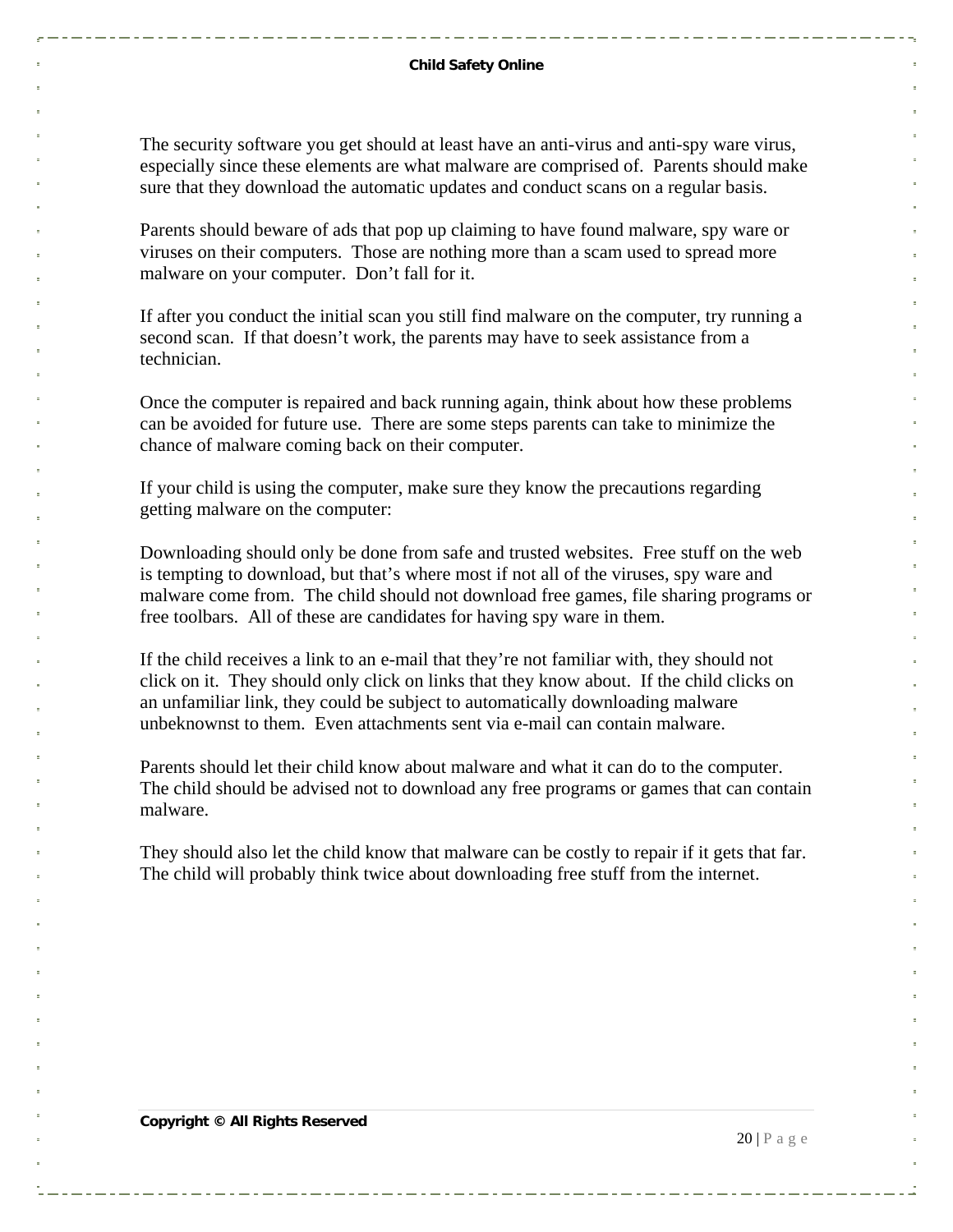#### **Child Safety Online**

The security software you get should at least have an anti-virus and anti-spy ware virus, especially since these elements are what malware are comprised of. Parents should make sure that they download the automatic updates and conduct scans on a regular basis.

Parents should beware of ads that pop up claiming to have found malware, spy ware or viruses on their computers. Those are nothing more than a scam used to spread more malware on your computer. Don't fall for it.

If after you conduct the initial scan you still find malware on the computer, try running a second scan. If that doesn't work, the parents may have to seek assistance from a technician.

Once the computer is repaired and back running again, think about how these problems can be avoided for future use. There are some steps parents can take to minimize the chance of malware coming back on their computer.

If your child is using the computer, make sure they know the precautions regarding getting malware on the computer:

Downloading should only be done from safe and trusted websites. Free stuff on the web is tempting to download, but that's where most if not all of the viruses, spy ware and malware come from. The child should not download free games, file sharing programs or free toolbars. All of these are candidates for having spy ware in them.

If the child receives a link to an e-mail that they're not familiar with, they should not click on it. They should only click on links that they know about. If the child clicks on an unfamiliar link, they could be subject to automatically downloading malware unbeknownst to them. Even attachments sent via e-mail can contain malware.

Parents should let their child know about malware and what it can do to the computer. The child should be advised not to download any free programs or games that can contain malware.

They should also let the child know that malware can be costly to repair if it gets that far. The child will probably think twice about downloading free stuff from the internet.

**Copyright © All Rights Reserved** 

 $20$  | P a g e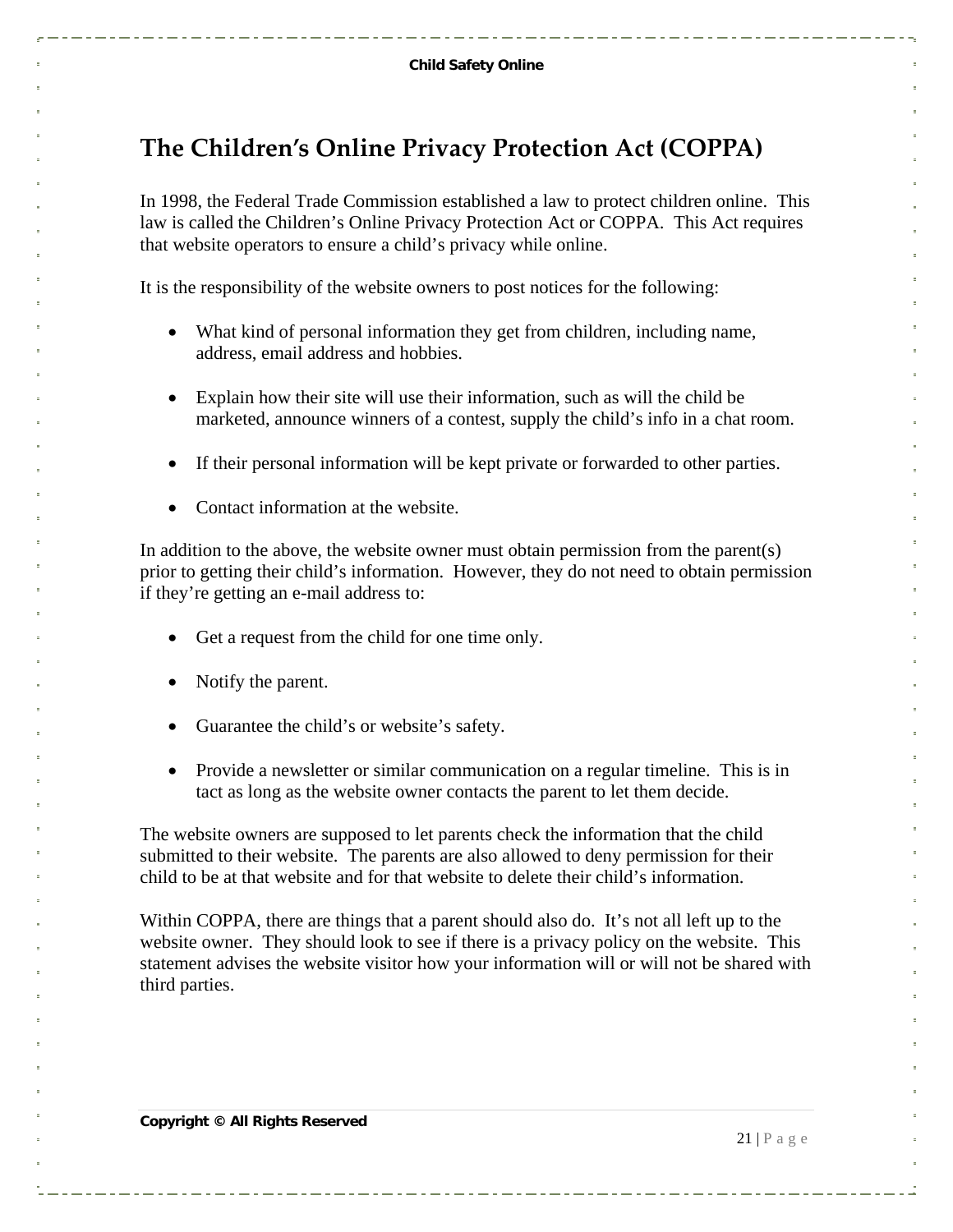### <span id="page-20-0"></span>**The Children's Online Privacy Protection Act (COPPA)**

In 1998, the Federal Trade Commission established a law to protect children online. This law is called the Children's Online Privacy Protection Act or COPPA. This Act requires that website operators to ensure a child's privacy while online.

It is the responsibility of the website owners to post notices for the following:

- What kind of personal information they get from children, including name, address, email address and hobbies.
- Explain how their site will use their information, such as will the child be marketed, announce winners of a contest, supply the child's info in a chat room.
- If their personal information will be kept private or forwarded to other parties.
- Contact information at the website.

In addition to the above, the website owner must obtain permission from the parent(s) prior to getting their child's information. However, they do not need to obtain permission if they're getting an e-mail address to:

- Get a request from the child for one time only.
- Notify the parent.
- Guarantee the child's or website's safety.
- Provide a newsletter or similar communication on a regular timeline. This is in tact as long as the website owner contacts the parent to let them decide.

The website owners are supposed to let parents check the information that the child submitted to their website. The parents are also allowed to deny permission for their child to be at that website and for that website to delete their child's information.

Within COPPA, there are things that a parent should also do. It's not all left up to the website owner. They should look to see if there is a privacy policy on the website. This statement advises the website visitor how your information will or will not be shared with third parties.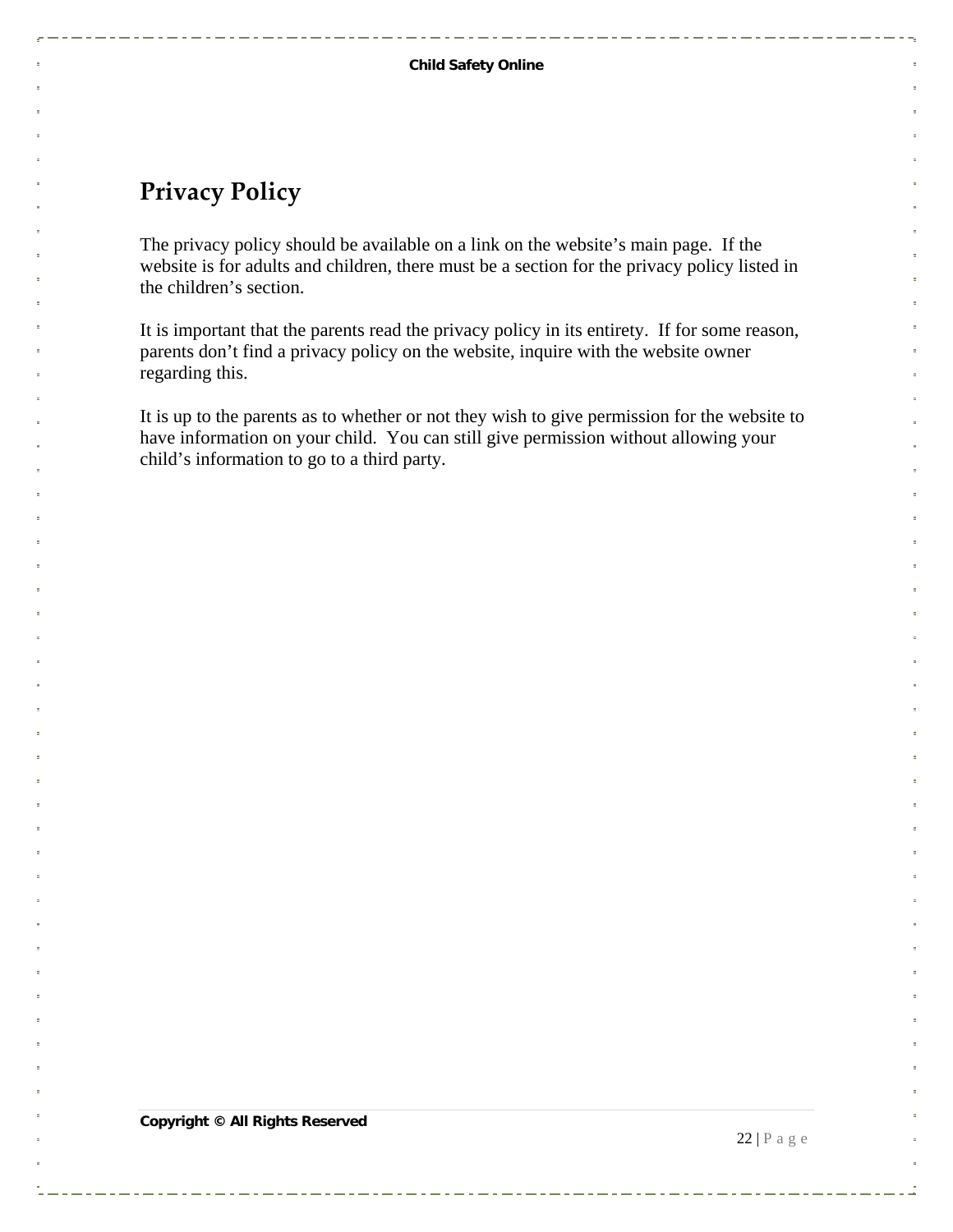#### <span id="page-21-0"></span>**Privacy Policy**

The privacy policy should be available on a link on the website's main page. If the website is for adults and children, there must be a section for the privacy policy listed in the children's section.

It is important that the parents read the privacy policy in its entirety. If for some reason, parents don't find a privacy policy on the website, inquire with the website owner regarding this.

It is up to the parents as to whether or not they wish to give permission for the website to have information on your child. You can still give permission without allowing your child's information to go to a third party.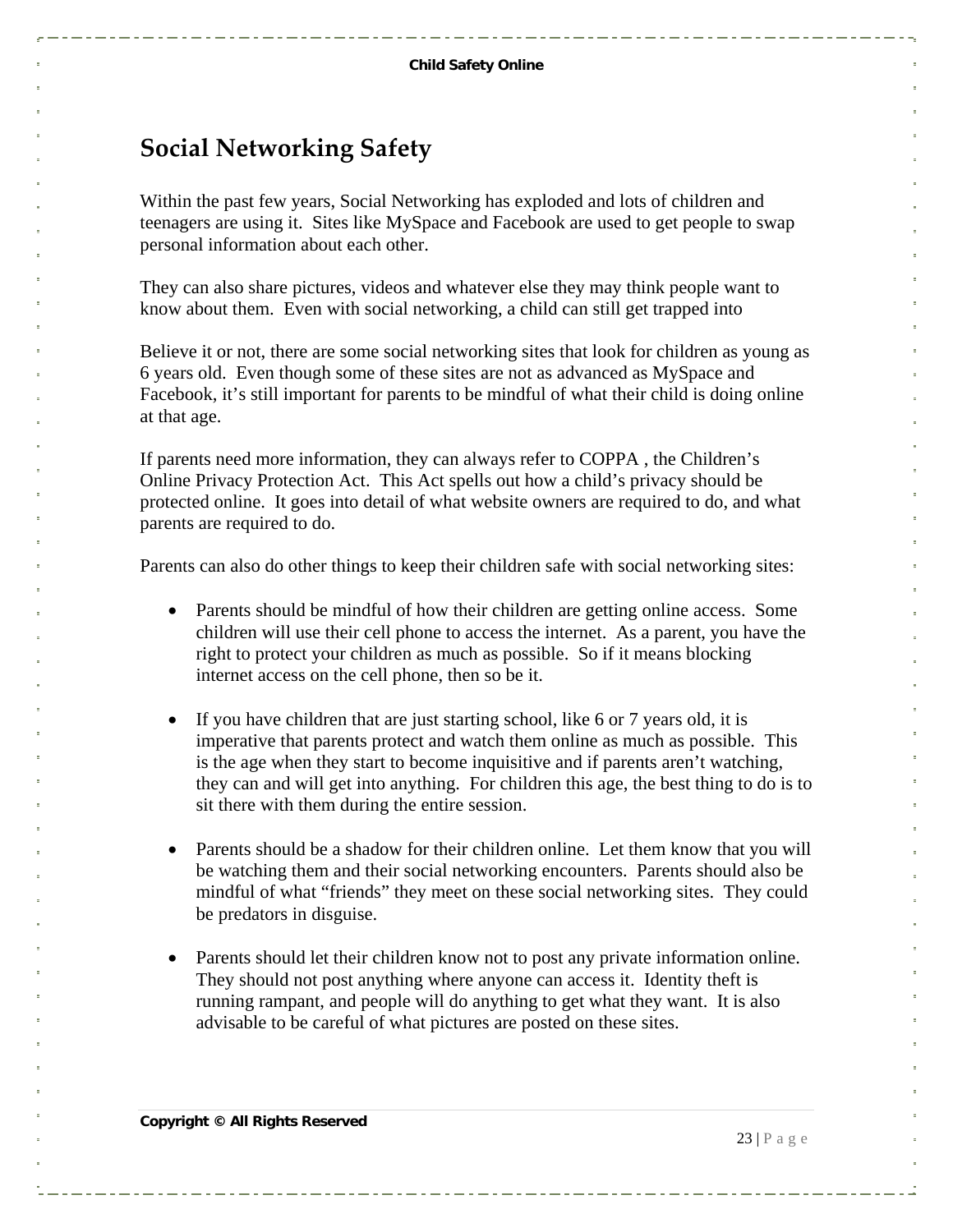#### <span id="page-22-0"></span>**Social Networking Safety**

Within the past few years, Social Networking has exploded and lots of children and teenagers are using it. Sites like MySpace and Facebook are used to get people to swap personal information about each other.

They can also share pictures, videos and whatever else they may think people want to know about them. Even with social networking, a child can still get trapped into

Believe it or not, there are some social networking sites that look for children as young as 6 years old. Even though some of these sites are not as advanced as MySpace and Facebook, it's still important for parents to be mindful of what their child is doing online at that age.

If parents need more information, they can always refer to COPPA , the Children's Online Privacy Protection Act. This Act spells out how a child's privacy should be protected online. It goes into detail of what website owners are required to do, and what parents are required to do.

Parents can also do other things to keep their children safe with social networking sites:

- Parents should be mindful of how their children are getting online access. Some children will use their cell phone to access the internet. As a parent, you have the right to protect your children as much as possible. So if it means blocking internet access on the cell phone, then so be it.
- If you have children that are just starting school, like 6 or 7 years old, it is imperative that parents protect and watch them online as much as possible. This is the age when they start to become inquisitive and if parents aren't watching, they can and will get into anything. For children this age, the best thing to do is to sit there with them during the entire session.
- Parents should be a shadow for their children online. Let them know that you will be watching them and their social networking encounters. Parents should also be mindful of what "friends" they meet on these social networking sites. They could be predators in disguise.
- Parents should let their children know not to post any private information online. They should not post anything where anyone can access it. Identity theft is running rampant, and people will do anything to get what they want. It is also advisable to be careful of what pictures are posted on these sites.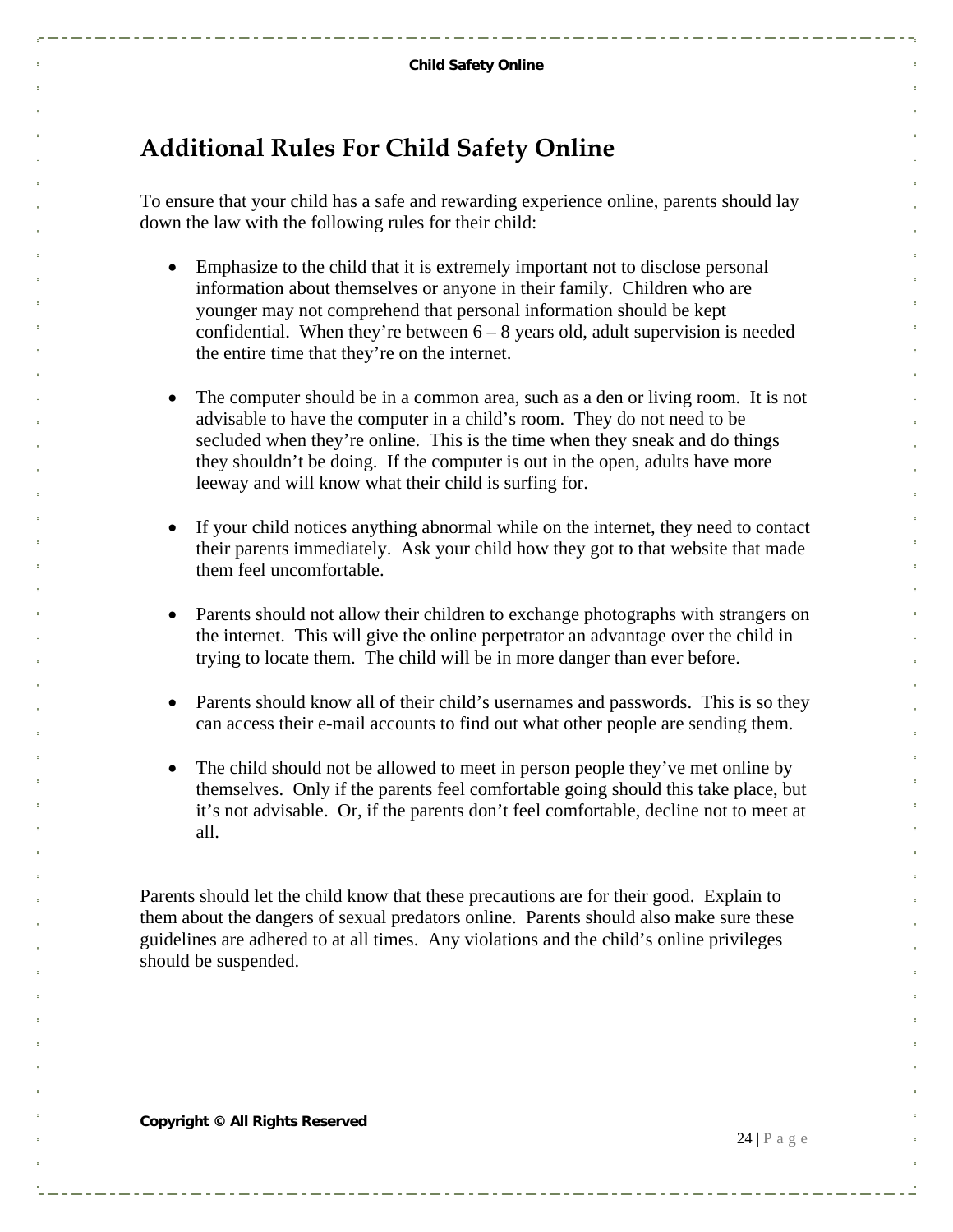### <span id="page-23-0"></span>**Additional Rules For Child Safety Online**

To ensure that your child has a safe and rewarding experience online, parents should lay down the law with the following rules for their child:

- Emphasize to the child that it is extremely important not to disclose personal information about themselves or anyone in their family. Children who are younger may not comprehend that personal information should be kept confidential. When they're between  $6 - 8$  years old, adult supervision is needed the entire time that they're on the internet.
- The computer should be in a common area, such as a den or living room. It is not advisable to have the computer in a child's room. They do not need to be secluded when they're online. This is the time when they sneak and do things they shouldn't be doing. If the computer is out in the open, adults have more leeway and will know what their child is surfing for.
- If your child notices anything abnormal while on the internet, they need to contact their parents immediately. Ask your child how they got to that website that made them feel uncomfortable.
- Parents should not allow their children to exchange photographs with strangers on the internet. This will give the online perpetrator an advantage over the child in trying to locate them. The child will be in more danger than ever before.
- Parents should know all of their child's usernames and passwords. This is so they can access their e-mail accounts to find out what other people are sending them.
- The child should not be allowed to meet in person people they've met online by themselves. Only if the parents feel comfortable going should this take place, but it's not advisable. Or, if the parents don't feel comfortable, decline not to meet at all.

Parents should let the child know that these precautions are for their good. Explain to them about the dangers of sexual predators online. Parents should also make sure these guidelines are adhered to at all times. Any violations and the child's online privileges should be suspended.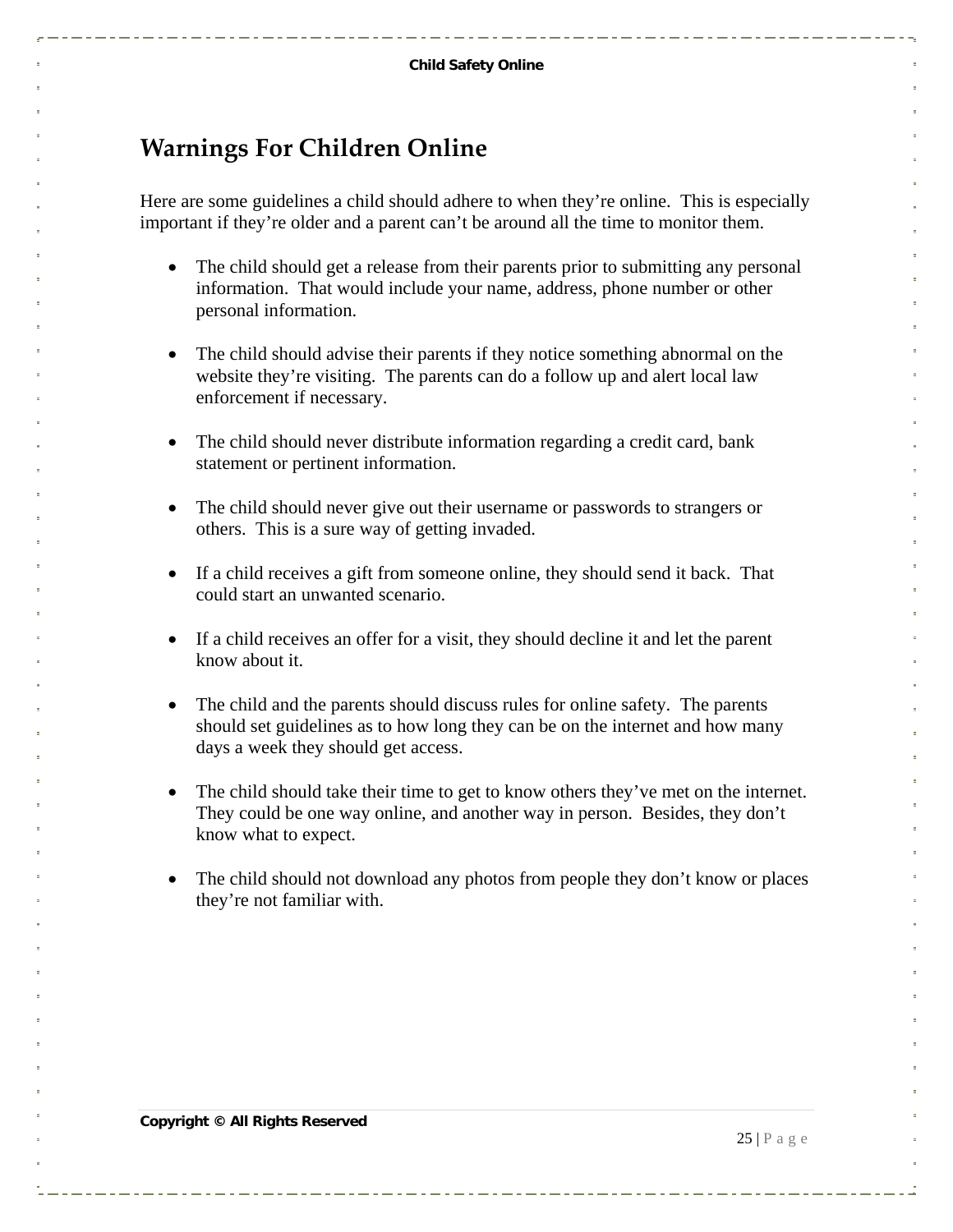### <span id="page-24-0"></span>**Warnings For Children Online**

Here are some guidelines a child should adhere to when they're online. This is especially important if they're older and a parent can't be around all the time to monitor them.

- The child should get a release from their parents prior to submitting any personal information. That would include your name, address, phone number or other personal information.
- The child should advise their parents if they notice something abnormal on the website they're visiting. The parents can do a follow up and alert local law enforcement if necessary.
- The child should never distribute information regarding a credit card, bank statement or pertinent information.
- The child should never give out their username or passwords to strangers or others. This is a sure way of getting invaded.
- If a child receives a gift from someone online, they should send it back. That could start an unwanted scenario.
- If a child receives an offer for a visit, they should decline it and let the parent know about it.
- The child and the parents should discuss rules for online safety. The parents should set guidelines as to how long they can be on the internet and how many days a week they should get access.
- The child should take their time to get to know others they've met on the internet. They could be one way online, and another way in person. Besides, they don't know what to expect.
- The child should not download any photos from people they don't know or places they're not familiar with.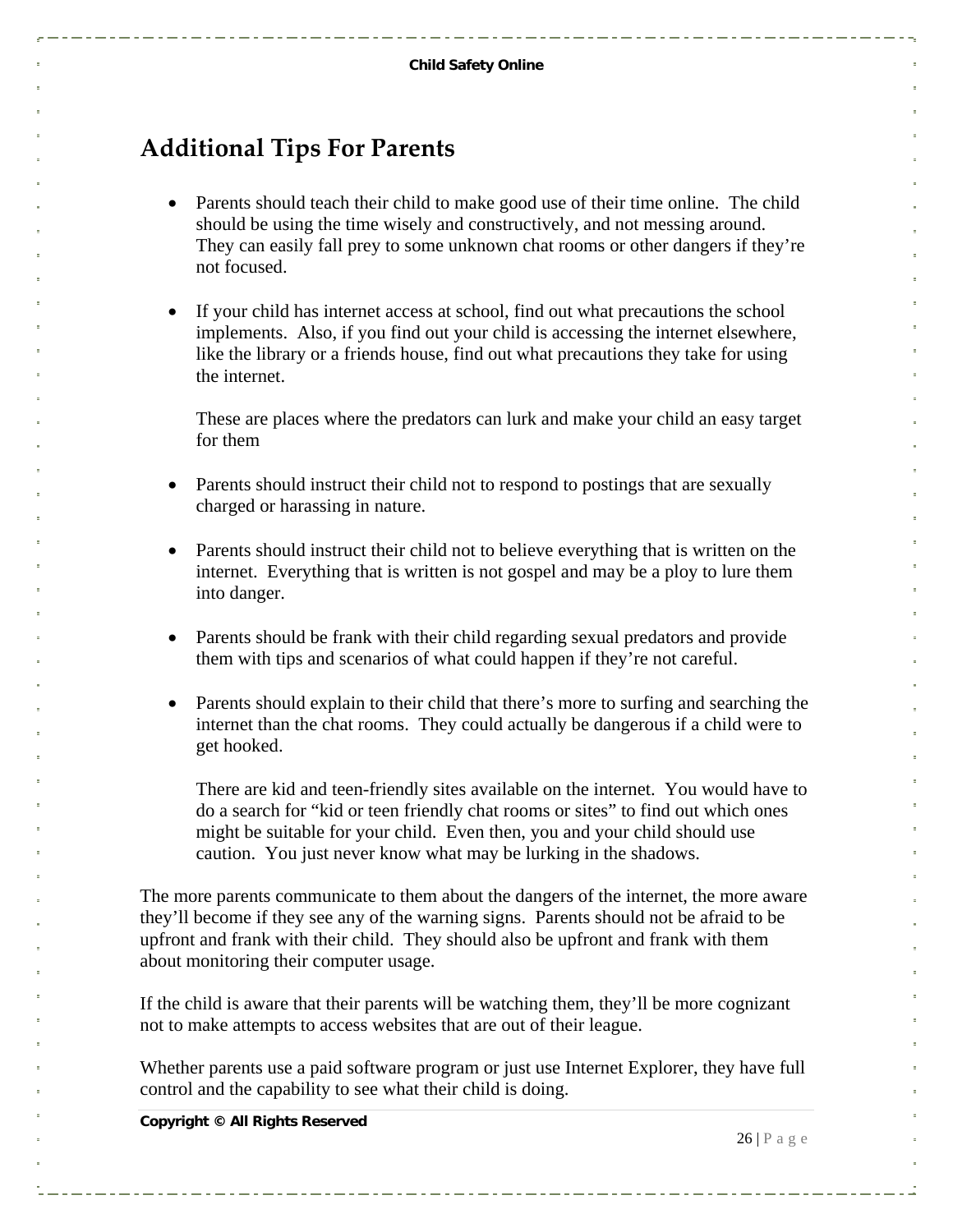## <span id="page-25-0"></span>**Additional Tips For Parents**

- Parents should teach their child to make good use of their time online. The child should be using the time wisely and constructively, and not messing around. They can easily fall prey to some unknown chat rooms or other dangers if they're not focused.
- If your child has internet access at school, find out what precautions the school implements. Also, if you find out your child is accessing the internet elsewhere, like the library or a friends house, find out what precautions they take for using the internet.

These are places where the predators can lurk and make your child an easy target for them

- Parents should instruct their child not to respond to postings that are sexually charged or harassing in nature.
- Parents should instruct their child not to believe everything that is written on the internet. Everything that is written is not gospel and may be a ploy to lure them into danger.
- Parents should be frank with their child regarding sexual predators and provide them with tips and scenarios of what could happen if they're not careful.
- Parents should explain to their child that there's more to surfing and searching the internet than the chat rooms. They could actually be dangerous if a child were to get hooked.

There are kid and teen-friendly sites available on the internet. You would have to do a search for "kid or teen friendly chat rooms or sites" to find out which ones might be suitable for your child. Even then, you and your child should use caution. You just never know what may be lurking in the shadows.

The more parents communicate to them about the dangers of the internet, the more aware they'll become if they see any of the warning signs. Parents should not be afraid to be upfront and frank with their child. They should also be upfront and frank with them about monitoring their computer usage.

If the child is aware that their parents will be watching them, they'll be more cognizant not to make attempts to access websites that are out of their league.

Whether parents use a paid software program or just use Internet Explorer, they have full control and the capability to see what their child is doing.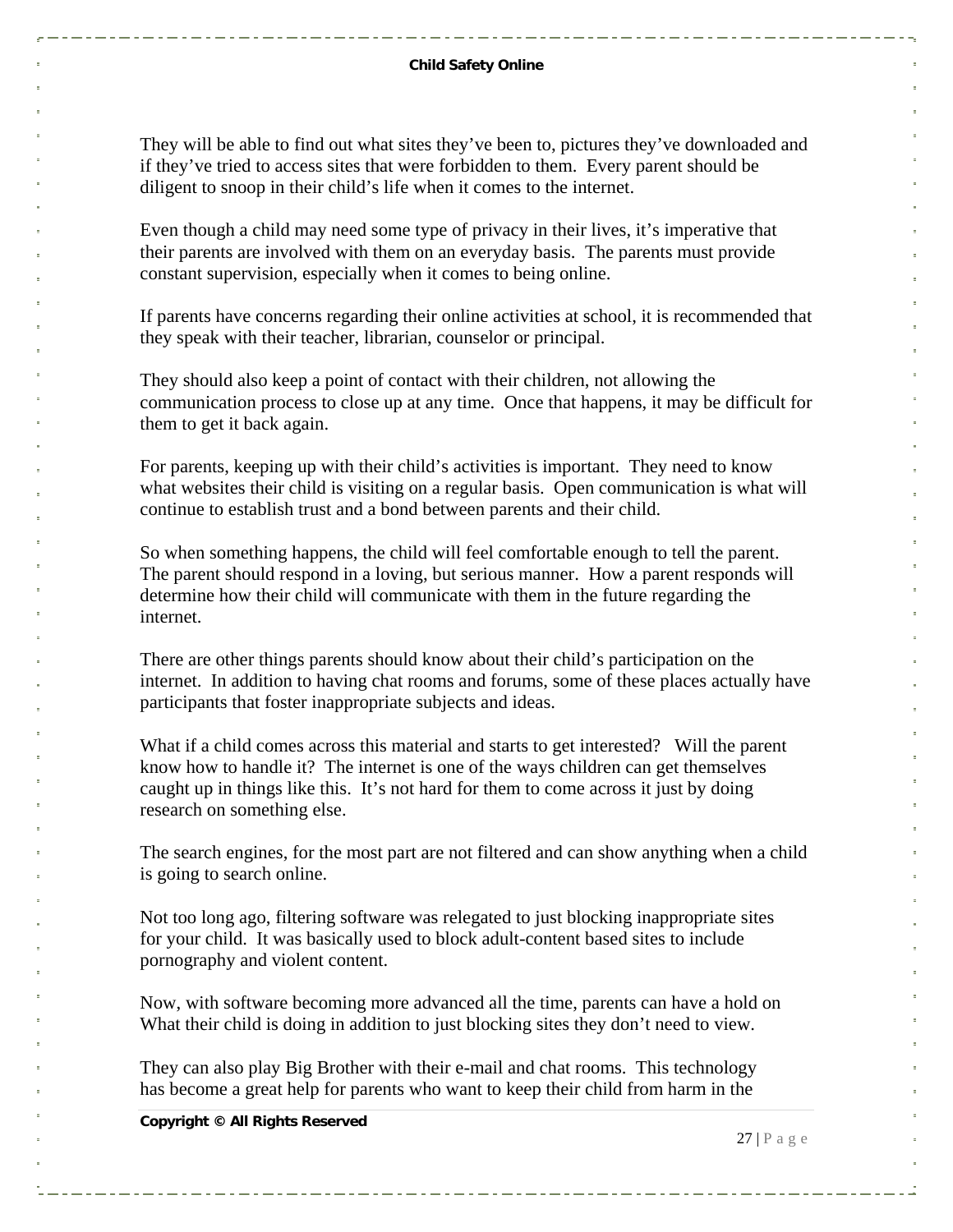They will be able to find out what sites they've been to, pictures they've downloaded and if they've tried to access sites that were forbidden to them. Every parent should be diligent to snoop in their child's life when it comes to the internet.

Even though a child may need some type of privacy in their lives, it's imperative that their parents are involved with them on an everyday basis. The parents must provide constant supervision, especially when it comes to being online.

If parents have concerns regarding their online activities at school, it is recommended that they speak with their teacher, librarian, counselor or principal.

They should also keep a point of contact with their children, not allowing the communication process to close up at any time. Once that happens, it may be difficult for them to get it back again.

For parents, keeping up with their child's activities is important. They need to know what websites their child is visiting on a regular basis. Open communication is what will continue to establish trust and a bond between parents and their child.

So when something happens, the child will feel comfortable enough to tell the parent. The parent should respond in a loving, but serious manner. How a parent responds will determine how their child will communicate with them in the future regarding the internet.

There are other things parents should know about their child's participation on the internet. In addition to having chat rooms and forums, some of these places actually have participants that foster inappropriate subjects and ideas.

What if a child comes across this material and starts to get interested? Will the parent know how to handle it? The internet is one of the ways children can get themselves caught up in things like this. It's not hard for them to come across it just by doing research on something else.

The search engines, for the most part are not filtered and can show anything when a child is going to search online.

Not too long ago, filtering software was relegated to just blocking inappropriate sites for your child. It was basically used to block adult-content based sites to include pornography and violent content.

Now, with software becoming more advanced all the time, parents can have a hold on What their child is doing in addition to just blocking sites they don't need to view.

They can also play Big Brother with their e-mail and chat rooms. This technology has become a great help for parents who want to keep their child from harm in the

**Copyright © All Rights Reserved** 

 $27 | P \text{ a g e}$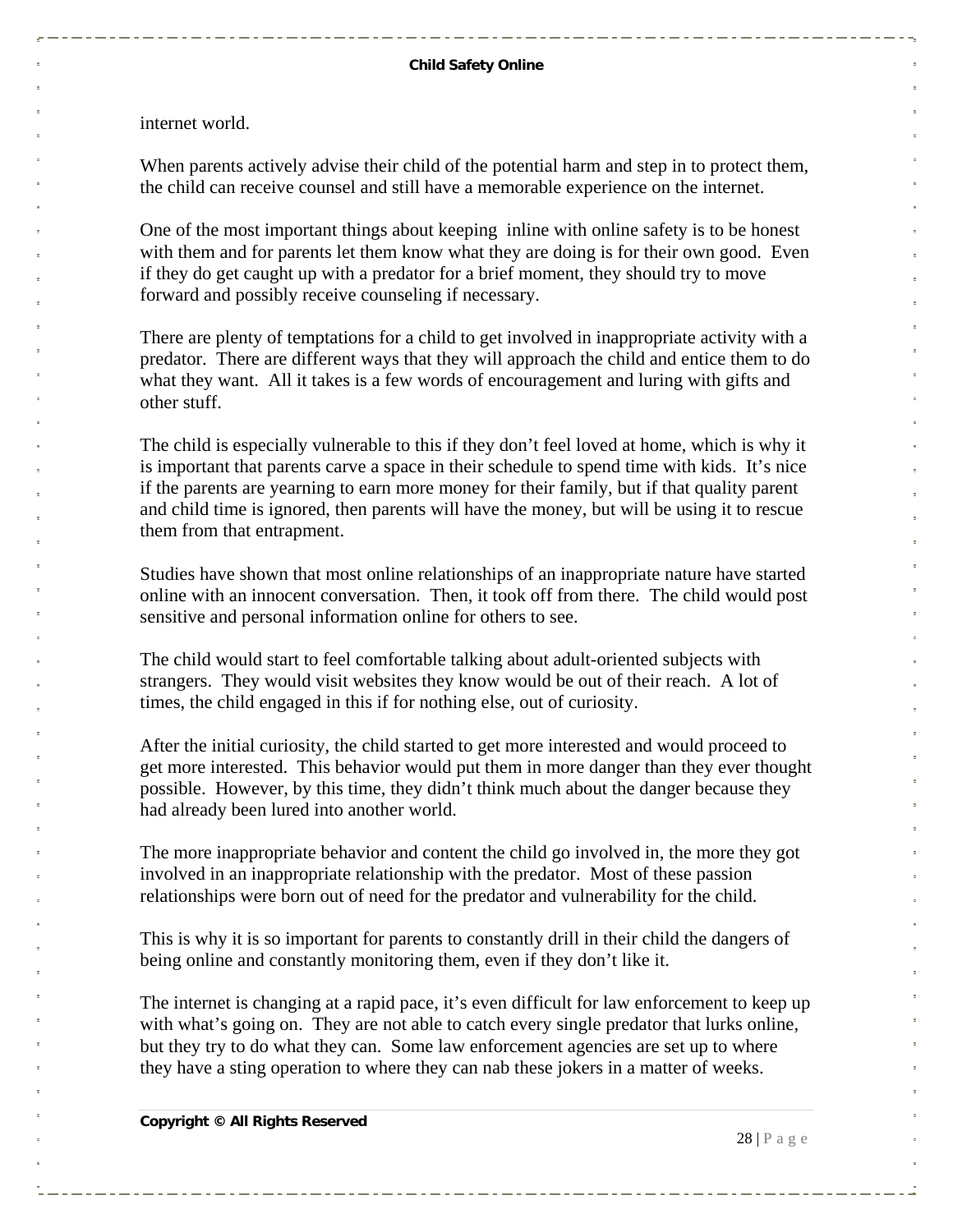internet world.

When parents actively advise their child of the potential harm and step in to protect them, the child can receive counsel and still have a memorable experience on the internet.

One of the most important things about keeping inline with online safety is to be honest with them and for parents let them know what they are doing is for their own good. Even if they do get caught up with a predator for a brief moment, they should try to move forward and possibly receive counseling if necessary.

There are plenty of temptations for a child to get involved in inappropriate activity with a predator. There are different ways that they will approach the child and entice them to do what they want. All it takes is a few words of encouragement and luring with gifts and other stuff.

The child is especially vulnerable to this if they don't feel loved at home, which is why it is important that parents carve a space in their schedule to spend time with kids. It's nice if the parents are yearning to earn more money for their family, but if that quality parent and child time is ignored, then parents will have the money, but will be using it to rescue them from that entrapment.

Studies have shown that most online relationships of an inappropriate nature have started online with an innocent conversation. Then, it took off from there. The child would post sensitive and personal information online for others to see.

The child would start to feel comfortable talking about adult-oriented subjects with strangers. They would visit websites they know would be out of their reach. A lot of times, the child engaged in this if for nothing else, out of curiosity.

After the initial curiosity, the child started to get more interested and would proceed to get more interested. This behavior would put them in more danger than they ever thought possible. However, by this time, they didn't think much about the danger because they had already been lured into another world.

The more inappropriate behavior and content the child go involved in, the more they got involved in an inappropriate relationship with the predator. Most of these passion relationships were born out of need for the predator and vulnerability for the child.

This is why it is so important for parents to constantly drill in their child the dangers of being online and constantly monitoring them, even if they don't like it.

The internet is changing at a rapid pace, it's even difficult for law enforcement to keep up with what's going on. They are not able to catch every single predator that lurks online, but they try to do what they can. Some law enforcement agencies are set up to where they have a sting operation to where they can nab these jokers in a matter of weeks.

**Copyright © All Rights Reserved** 

 $28$  | P a g e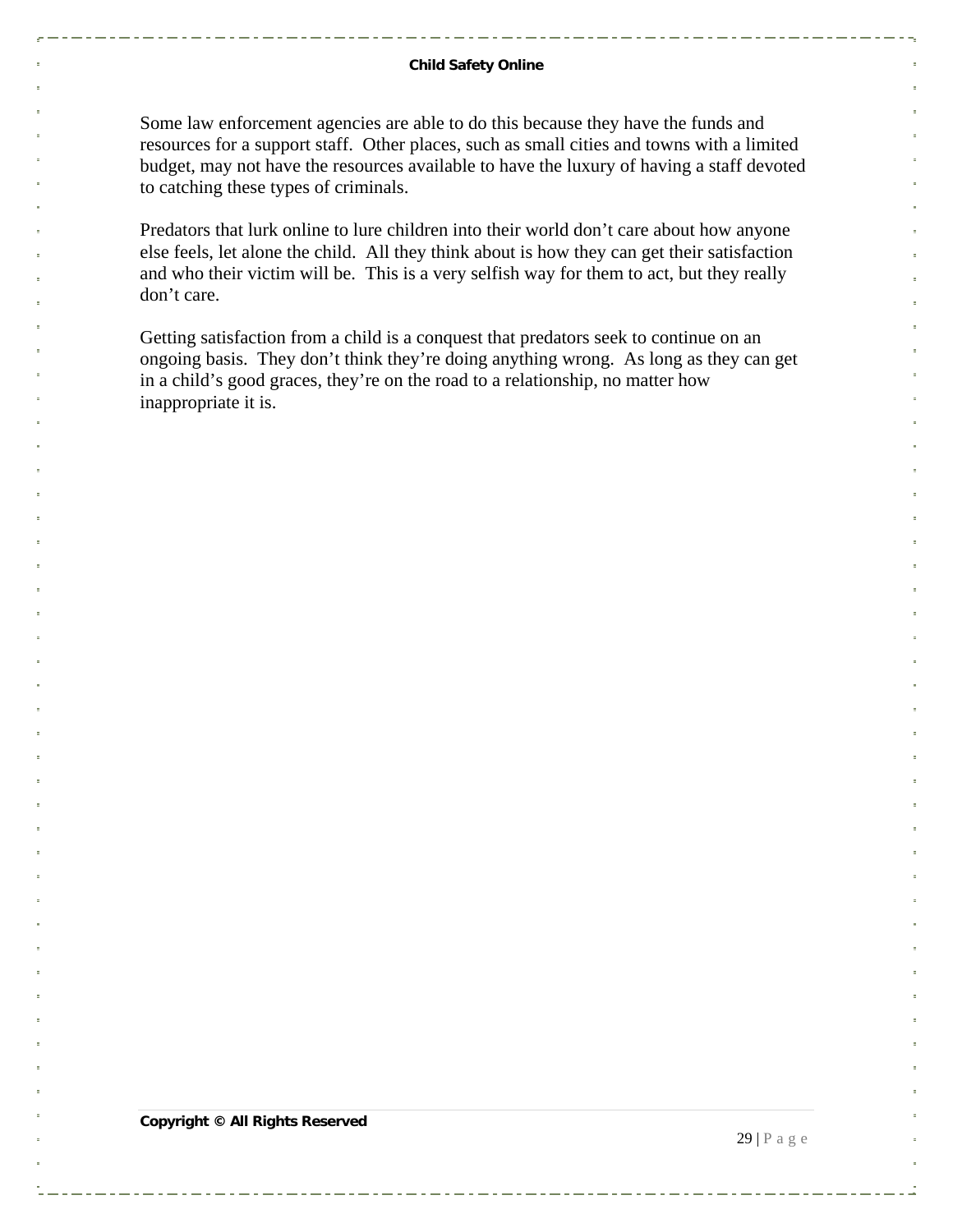#### **Child Safety Online**

Some law enforcement agencies are able to do this because they have the funds and resources for a support staff. Other places, such as small cities and towns with a limited budget, may not have the resources available to have the luxury of having a staff devoted to catching these types of criminals.

Predators that lurk online to lure children into their world don't care about how anyone else feels, let alone the child. All they think about is how they can get their satisfaction and who their victim will be. This is a very selfish way for them to act, but they really don't care.

Getting satisfaction from a child is a conquest that predators seek to continue on an ongoing basis. They don't think they're doing anything wrong. As long as they can get in a child's good graces, they're on the road to a relationship, no matter how inappropriate it is.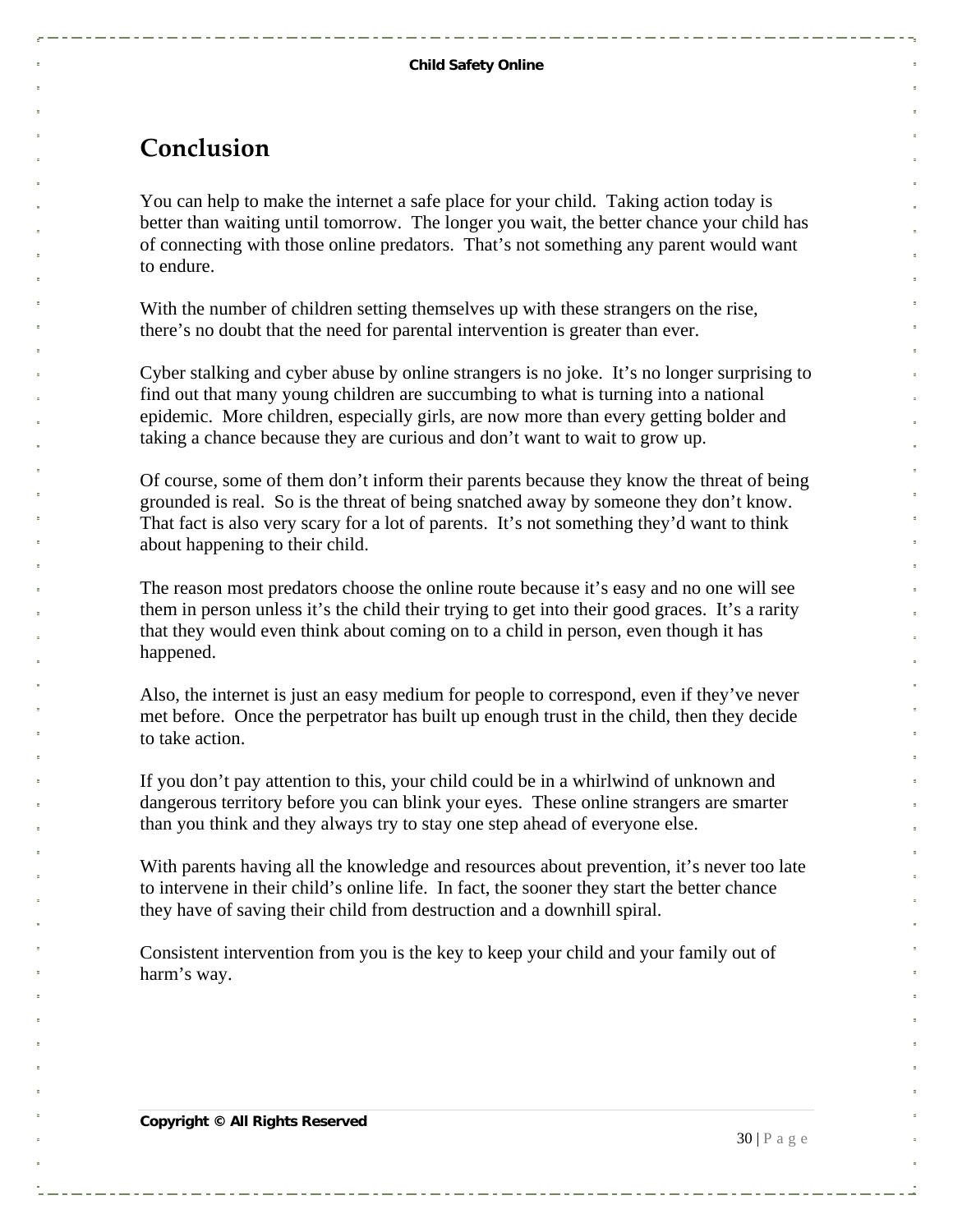#### <span id="page-29-0"></span>**Conclusion**

You can help to make the internet a safe place for your child. Taking action today is better than waiting until tomorrow. The longer you wait, the better chance your child has of connecting with those online predators. That's not something any parent would want to endure.

With the number of children setting themselves up with these strangers on the rise, there's no doubt that the need for parental intervention is greater than ever.

Cyber stalking and cyber abuse by online strangers is no joke. It's no longer surprising to find out that many young children are succumbing to what is turning into a national epidemic. More children, especially girls, are now more than every getting bolder and taking a chance because they are curious and don't want to wait to grow up.

Of course, some of them don't inform their parents because they know the threat of being grounded is real. So is the threat of being snatched away by someone they don't know. That fact is also very scary for a lot of parents. It's not something they'd want to think about happening to their child.

The reason most predators choose the online route because it's easy and no one will see them in person unless it's the child their trying to get into their good graces. It's a rarity that they would even think about coming on to a child in person, even though it has happened.

Also, the internet is just an easy medium for people to correspond, even if they've never met before. Once the perpetrator has built up enough trust in the child, then they decide to take action.

If you don't pay attention to this, your child could be in a whirlwind of unknown and dangerous territory before you can blink your eyes. These online strangers are smarter than you think and they always try to stay one step ahead of everyone else.

With parents having all the knowledge and resources about prevention, it's never too late to intervene in their child's online life. In fact, the sooner they start the better chance they have of saving their child from destruction and a downhill spiral.

Consistent intervention from you is the key to keep your child and your family out of harm's way.